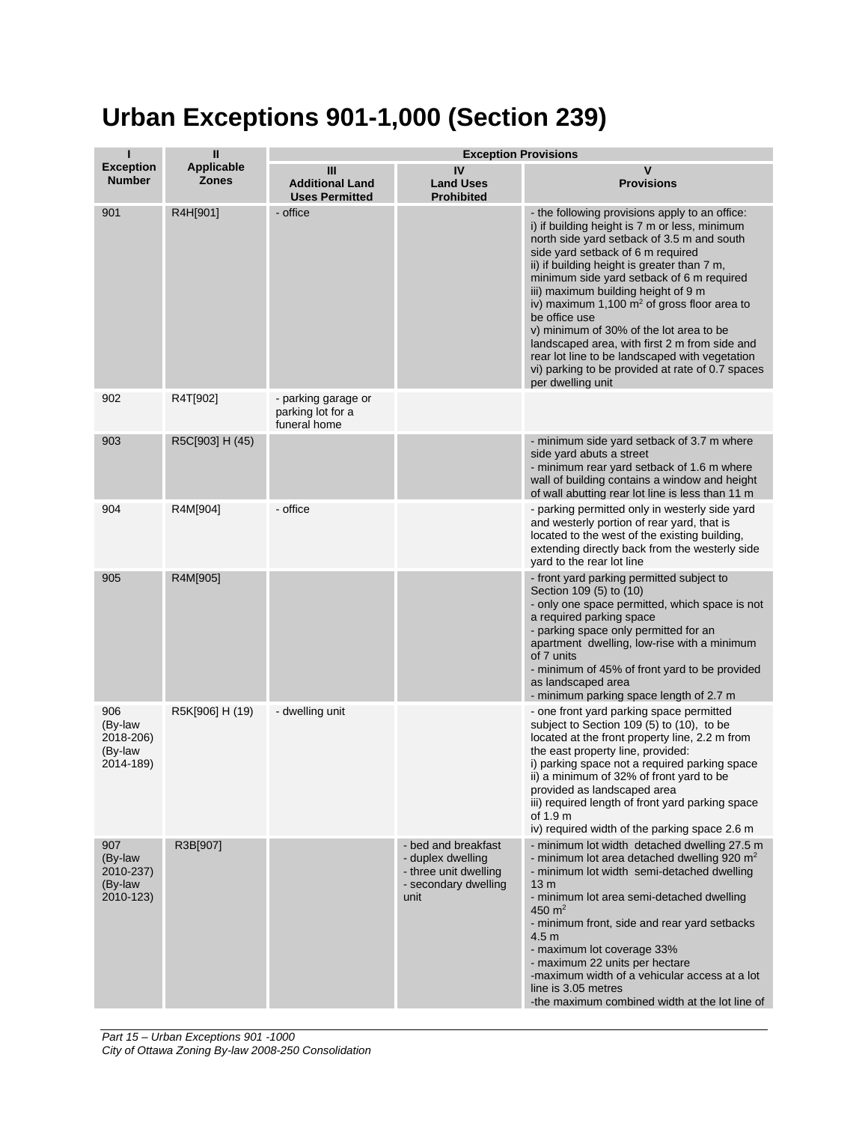## **Urban Exceptions 901-1,000 (Section 239)**

| П                                                   | $\mathbf{I}$               | <b>Exception Provisions</b>                              |                                                                                                   |                                                                                                                                                                                                                                                                                                                                                                                                                                                                                                                                                                                                                |  |
|-----------------------------------------------------|----------------------------|----------------------------------------------------------|---------------------------------------------------------------------------------------------------|----------------------------------------------------------------------------------------------------------------------------------------------------------------------------------------------------------------------------------------------------------------------------------------------------------------------------------------------------------------------------------------------------------------------------------------------------------------------------------------------------------------------------------------------------------------------------------------------------------------|--|
| <b>Exception</b><br><b>Number</b>                   | Applicable<br><b>Zones</b> | Ш<br><b>Additional Land</b><br><b>Uses Permitted</b>     | IV<br><b>Land Uses</b><br><b>Prohibited</b>                                                       | v<br><b>Provisions</b>                                                                                                                                                                                                                                                                                                                                                                                                                                                                                                                                                                                         |  |
| 901                                                 | R4H[901]                   | - office                                                 |                                                                                                   | - the following provisions apply to an office:<br>i) if building height is 7 m or less, minimum<br>north side yard setback of 3.5 m and south<br>side yard setback of 6 m required<br>ii) if building height is greater than 7 m,<br>minimum side yard setback of 6 m required<br>iii) maximum building height of 9 m<br>iv) maximum 1,100 $m2$ of gross floor area to<br>be office use<br>v) minimum of 30% of the lot area to be<br>landscaped area, with first 2 m from side and<br>rear lot line to be landscaped with vegetation<br>vi) parking to be provided at rate of 0.7 spaces<br>per dwelling unit |  |
| 902                                                 | R4T[902]                   | - parking garage or<br>parking lot for a<br>funeral home |                                                                                                   |                                                                                                                                                                                                                                                                                                                                                                                                                                                                                                                                                                                                                |  |
| 903                                                 | R5C[903] H (45)            |                                                          |                                                                                                   | - minimum side yard setback of 3.7 m where<br>side yard abuts a street<br>- minimum rear yard setback of 1.6 m where<br>wall of building contains a window and height<br>of wall abutting rear lot line is less than 11 m                                                                                                                                                                                                                                                                                                                                                                                      |  |
| 904                                                 | R4M[904]                   | - office                                                 |                                                                                                   | - parking permitted only in westerly side yard<br>and westerly portion of rear yard, that is<br>located to the west of the existing building,<br>extending directly back from the westerly side<br>yard to the rear lot line                                                                                                                                                                                                                                                                                                                                                                                   |  |
| 905                                                 | R4M[905]                   |                                                          |                                                                                                   | - front yard parking permitted subject to<br>Section 109 (5) to (10)<br>- only one space permitted, which space is not<br>a required parking space<br>- parking space only permitted for an<br>apartment dwelling, low-rise with a minimum<br>of 7 units<br>- minimum of 45% of front yard to be provided<br>as landscaped area<br>- minimum parking space length of 2.7 m                                                                                                                                                                                                                                     |  |
| 906<br>(By-law<br>2018-206)<br>(By-law<br>2014-189) | R5K[906] H (19)            | - dwelling unit                                          |                                                                                                   | - one front yard parking space permitted<br>subject to Section 109 (5) to (10), to be<br>located at the front property line, 2.2 m from<br>the east property line, provided:<br>i) parking space not a required parking space<br>ii) a minimum of 32% of front yard to be<br>provided as landscaped area<br>iii) required length of front yard parking space<br>of 1.9 m<br>iv) required width of the parking space 2.6 m                                                                                                                                                                                      |  |
| 907<br>(By-law<br>2010-237)<br>(By-law<br>2010-123) | R3B[907]                   |                                                          | - bed and breakfast<br>- duplex dwelling<br>- three unit dwelling<br>- secondary dwelling<br>unit | - minimum lot width detached dwelling 27.5 m<br>- minimum lot area detached dwelling 920 $m2$<br>- minimum lot width semi-detached dwelling<br>13 <sub>m</sub><br>- minimum lot area semi-detached dwelling<br>450 $m2$<br>- minimum front, side and rear yard setbacks<br>4.5 <sub>m</sub><br>- maximum lot coverage 33%<br>- maximum 22 units per hectare<br>-maximum width of a vehicular access at a lot<br>line is 3.05 metres<br>-the maximum combined width at the lot line of                                                                                                                          |  |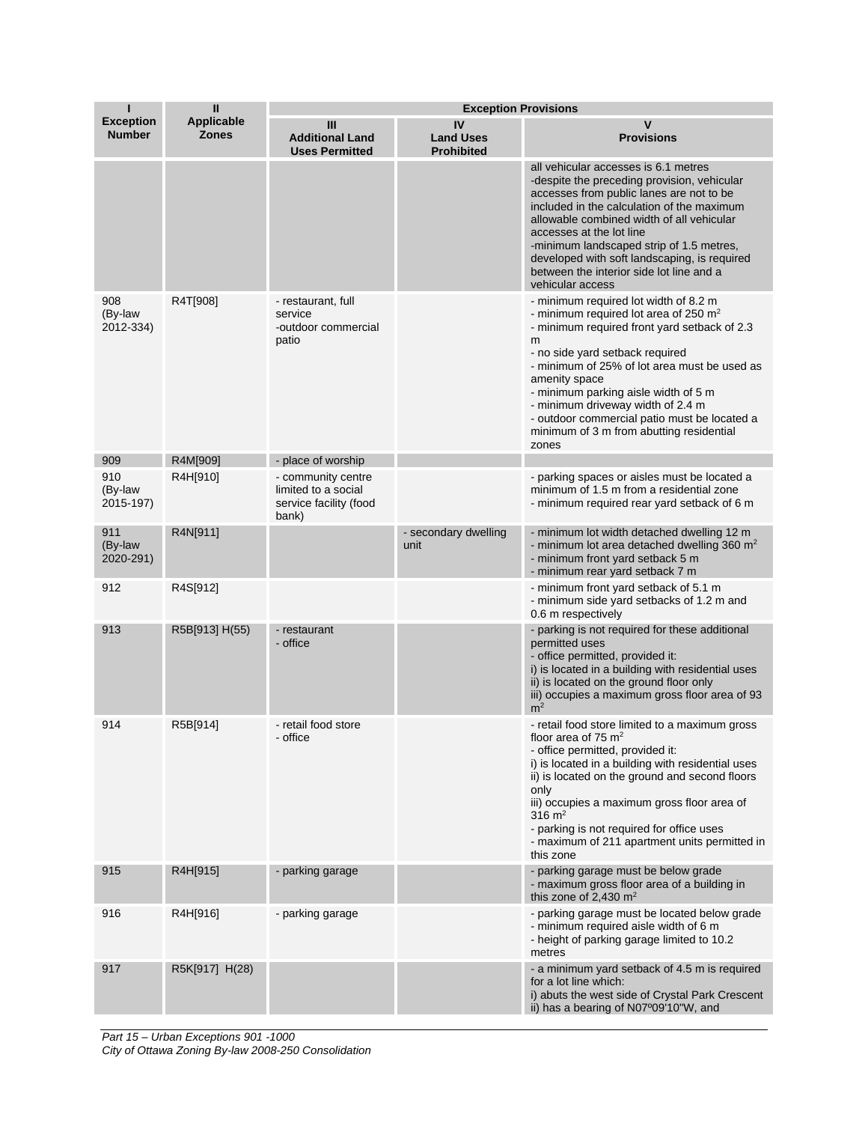| П                                 | $\mathbf{I}$               | <b>Exception Provisions</b>                                                  |                                             |                                                                                                                                                                                                                                                                                                                                                                                                                                       |  |
|-----------------------------------|----------------------------|------------------------------------------------------------------------------|---------------------------------------------|---------------------------------------------------------------------------------------------------------------------------------------------------------------------------------------------------------------------------------------------------------------------------------------------------------------------------------------------------------------------------------------------------------------------------------------|--|
| <b>Exception</b><br><b>Number</b> | Applicable<br><b>Zones</b> | Ш<br><b>Additional Land</b><br><b>Uses Permitted</b>                         | IV<br><b>Land Uses</b><br><b>Prohibited</b> | v<br><b>Provisions</b>                                                                                                                                                                                                                                                                                                                                                                                                                |  |
|                                   |                            |                                                                              |                                             | all vehicular accesses is 6.1 metres<br>-despite the preceding provision, vehicular<br>accesses from public lanes are not to be<br>included in the calculation of the maximum<br>allowable combined width of all vehicular<br>accesses at the lot line<br>-minimum landscaped strip of 1.5 metres,<br>developed with soft landscaping, is required<br>between the interior side lot line and a<br>vehicular access                    |  |
| 908<br>(By-law<br>2012-334)       | R4T[908]                   | - restaurant, full<br>service<br>-outdoor commercial<br>patio                |                                             | - minimum required lot width of 8.2 m<br>- minimum required lot area of 250 m <sup>2</sup><br>- minimum required front yard setback of 2.3<br>m<br>- no side yard setback required<br>- minimum of 25% of lot area must be used as<br>amenity space<br>- minimum parking aisle width of 5 m<br>- minimum driveway width of 2.4 m<br>- outdoor commercial patio must be located a<br>minimum of 3 m from abutting residential<br>zones |  |
| 909                               | R4M[909]                   | - place of worship                                                           |                                             |                                                                                                                                                                                                                                                                                                                                                                                                                                       |  |
| 910<br>(By-law<br>2015-197)       | R4H[910]                   | - community centre<br>limited to a social<br>service facility (food<br>bank) |                                             | - parking spaces or aisles must be located a<br>minimum of 1.5 m from a residential zone<br>- minimum required rear yard setback of 6 m                                                                                                                                                                                                                                                                                               |  |
| 911<br>(By-law<br>2020-291)       | R4N[911]                   |                                                                              | - secondary dwelling<br>unit                | - minimum lot width detached dwelling 12 m<br>- minimum lot area detached dwelling 360 $m2$<br>- minimum front yard setback 5 m<br>- minimum rear yard setback 7 m                                                                                                                                                                                                                                                                    |  |
| 912                               | R4S[912]                   |                                                                              |                                             | - minimum front yard setback of 5.1 m<br>- minimum side yard setbacks of 1.2 m and<br>0.6 m respectively                                                                                                                                                                                                                                                                                                                              |  |
| 913                               | R5B[913] H(55)             | - restaurant<br>- office                                                     |                                             | - parking is not required for these additional<br>permitted uses<br>- office permitted, provided it:<br>i) is located in a building with residential uses<br>ii) is located on the ground floor only<br>iii) occupies a maximum gross floor area of 93<br>m <sup>2</sup>                                                                                                                                                              |  |
| 914                               | R5B[914]                   | - retail food store<br>- office                                              |                                             | - retail food store limited to a maximum gross<br>floor area of 75 $m2$<br>- office permitted, provided it:<br>i) is located in a building with residential uses<br>ii) is located on the ground and second floors<br>only<br>iii) occupies a maximum gross floor area of<br>316 $\rm m^2$<br>- parking is not required for office uses<br>- maximum of 211 apartment units permitted in<br>this zone                                 |  |
| 915                               | R4H[915]                   | - parking garage                                                             |                                             | - parking garage must be below grade<br>- maximum gross floor area of a building in<br>this zone of 2.430 $m2$                                                                                                                                                                                                                                                                                                                        |  |
| 916                               | R4H[916]                   | - parking garage                                                             |                                             | - parking garage must be located below grade<br>- minimum required aisle width of 6 m<br>- height of parking garage limited to 10.2<br>metres                                                                                                                                                                                                                                                                                         |  |
| 917                               | R5K[917] H(28)             |                                                                              |                                             | - a minimum yard setback of 4.5 m is required<br>for a lot line which:<br>i) abuts the west side of Crystal Park Crescent<br>ii) has a bearing of N07°09'10"W, and                                                                                                                                                                                                                                                                    |  |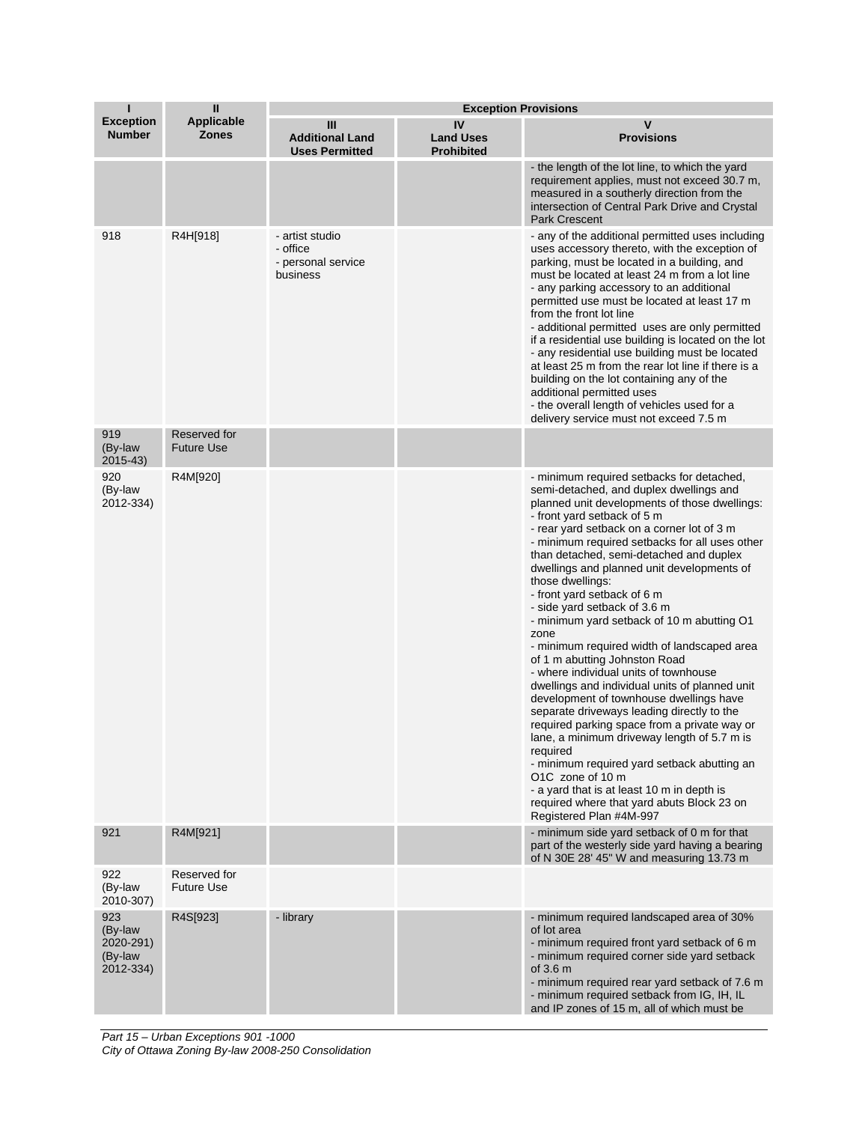| П                                                   | $\mathbf{I}$                      |                                                               | <b>Exception Provisions</b>                 |                                                                                                                                                                                                                                                                                                                                                                                                                                                                                                                                                                                                                                                                                                                                                                                                                                                                                                                                                                                                                                                                                 |  |
|-----------------------------------------------------|-----------------------------------|---------------------------------------------------------------|---------------------------------------------|---------------------------------------------------------------------------------------------------------------------------------------------------------------------------------------------------------------------------------------------------------------------------------------------------------------------------------------------------------------------------------------------------------------------------------------------------------------------------------------------------------------------------------------------------------------------------------------------------------------------------------------------------------------------------------------------------------------------------------------------------------------------------------------------------------------------------------------------------------------------------------------------------------------------------------------------------------------------------------------------------------------------------------------------------------------------------------|--|
| <b>Exception</b><br><b>Number</b>                   | <b>Applicable</b><br><b>Zones</b> | Ш<br><b>Additional Land</b><br><b>Uses Permitted</b>          | IV<br><b>Land Uses</b><br><b>Prohibited</b> | v<br><b>Provisions</b>                                                                                                                                                                                                                                                                                                                                                                                                                                                                                                                                                                                                                                                                                                                                                                                                                                                                                                                                                                                                                                                          |  |
|                                                     |                                   |                                                               |                                             | - the length of the lot line, to which the yard<br>requirement applies, must not exceed 30.7 m,<br>measured in a southerly direction from the<br>intersection of Central Park Drive and Crystal<br><b>Park Crescent</b>                                                                                                                                                                                                                                                                                                                                                                                                                                                                                                                                                                                                                                                                                                                                                                                                                                                         |  |
| 918                                                 | R4H[918]                          | - artist studio<br>- office<br>- personal service<br>business |                                             | - any of the additional permitted uses including<br>uses accessory thereto, with the exception of<br>parking, must be located in a building, and<br>must be located at least 24 m from a lot line<br>- any parking accessory to an additional<br>permitted use must be located at least 17 m<br>from the front lot line<br>- additional permitted uses are only permitted<br>if a residential use building is located on the lot<br>- any residential use building must be located<br>at least 25 m from the rear lot line if there is a<br>building on the lot containing any of the<br>additional permitted uses<br>- the overall length of vehicles used for a<br>delivery service must not exceed 7.5 m                                                                                                                                                                                                                                                                                                                                                                     |  |
| 919<br>(By-law<br>2015-43)                          | Reserved for<br><b>Future Use</b> |                                                               |                                             |                                                                                                                                                                                                                                                                                                                                                                                                                                                                                                                                                                                                                                                                                                                                                                                                                                                                                                                                                                                                                                                                                 |  |
| 920<br>(By-law<br>2012-334)                         | R4M[920]                          |                                                               |                                             | - minimum required setbacks for detached,<br>semi-detached, and duplex dwellings and<br>planned unit developments of those dwellings:<br>- front yard setback of 5 m<br>- rear yard setback on a corner lot of 3 m<br>- minimum required setbacks for all uses other<br>than detached, semi-detached and duplex<br>dwellings and planned unit developments of<br>those dwellings:<br>- front yard setback of 6 m<br>- side yard setback of 3.6 m<br>- minimum yard setback of 10 m abutting O1<br>zone<br>- minimum required width of landscaped area<br>of 1 m abutting Johnston Road<br>- where individual units of townhouse<br>dwellings and individual units of planned unit<br>development of townhouse dwellings have<br>separate driveways leading directly to the<br>required parking space from a private way or<br>lane, a minimum driveway length of 5.7 m is<br>required<br>- minimum required yard setback abutting an<br>O1C zone of 10 m<br>- a yard that is at least 10 m in depth is<br>required where that yard abuts Block 23 on<br>Registered Plan #4M-997 |  |
| 921                                                 | R4M[921]                          |                                                               |                                             | - minimum side yard setback of 0 m for that<br>part of the westerly side yard having a bearing<br>of N 30E 28' 45" W and measuring 13.73 m                                                                                                                                                                                                                                                                                                                                                                                                                                                                                                                                                                                                                                                                                                                                                                                                                                                                                                                                      |  |
| 922<br>(By-law<br>2010-307)                         | Reserved for<br><b>Future Use</b> |                                                               |                                             |                                                                                                                                                                                                                                                                                                                                                                                                                                                                                                                                                                                                                                                                                                                                                                                                                                                                                                                                                                                                                                                                                 |  |
| 923<br>(By-law<br>2020-291)<br>(By-law<br>2012-334) | R4S[923]                          | - library                                                     |                                             | - minimum required landscaped area of 30%<br>of lot area<br>- minimum required front yard setback of 6 m<br>- minimum required corner side yard setback<br>of $3.6m$<br>- minimum required rear yard setback of 7.6 m<br>- minimum required setback from IG, IH, IL<br>and IP zones of 15 m, all of which must be                                                                                                                                                                                                                                                                                                                                                                                                                                                                                                                                                                                                                                                                                                                                                               |  |

*Part 15 – Urban Exceptions 901 -1000 City of Ottawa Zoning By-law 2008-250 Consolidation*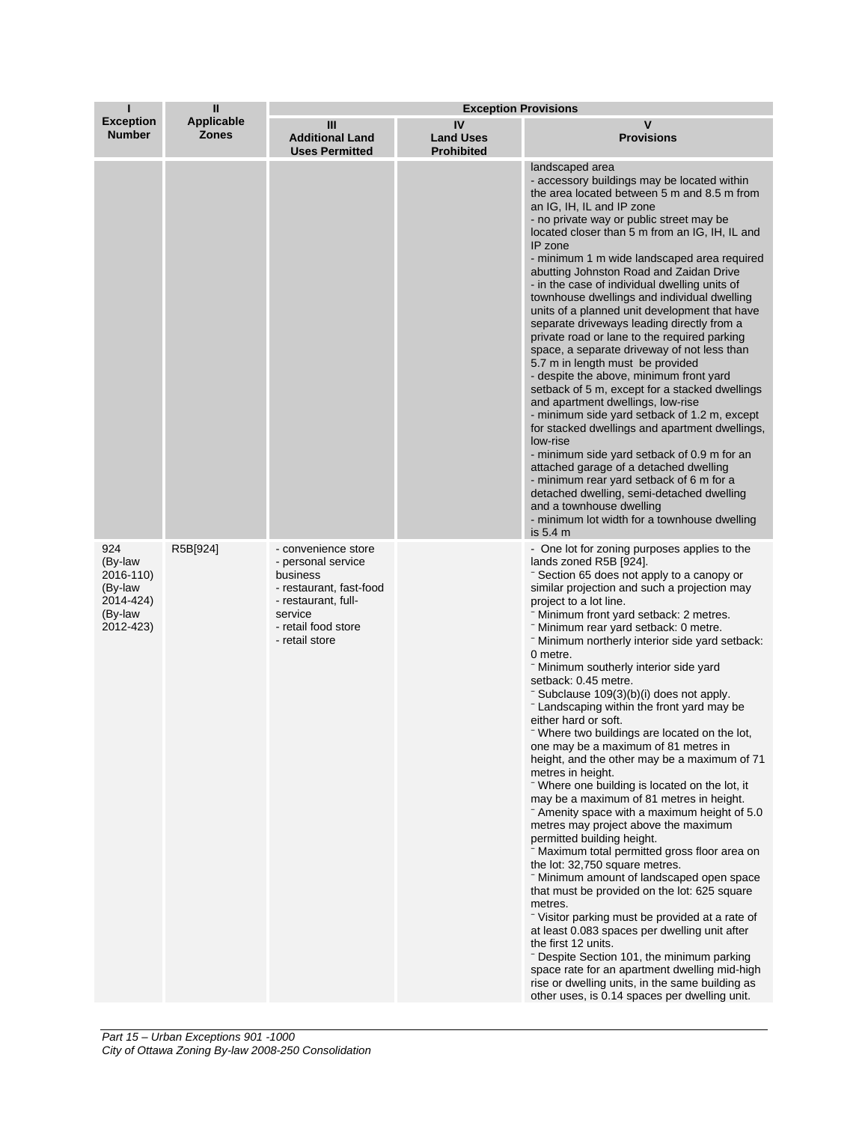| п                                                                           | $\mathbf{I}$                      | <b>Exception Provisions</b>                                                                                                                                 |                                             |                                                                                                                                                                                                                                                                                                                                                                                                                                                                                                                                                                                                                                                                                                                                                                                                                                                                                                                                                                                                                                                                                                                                                                                                                                                                                                                                                                                                                                              |
|-----------------------------------------------------------------------------|-----------------------------------|-------------------------------------------------------------------------------------------------------------------------------------------------------------|---------------------------------------------|----------------------------------------------------------------------------------------------------------------------------------------------------------------------------------------------------------------------------------------------------------------------------------------------------------------------------------------------------------------------------------------------------------------------------------------------------------------------------------------------------------------------------------------------------------------------------------------------------------------------------------------------------------------------------------------------------------------------------------------------------------------------------------------------------------------------------------------------------------------------------------------------------------------------------------------------------------------------------------------------------------------------------------------------------------------------------------------------------------------------------------------------------------------------------------------------------------------------------------------------------------------------------------------------------------------------------------------------------------------------------------------------------------------------------------------------|
| <b>Exception</b><br><b>Number</b>                                           | <b>Applicable</b><br><b>Zones</b> | Ш<br><b>Additional Land</b><br><b>Uses Permitted</b>                                                                                                        | IV<br><b>Land Uses</b><br><b>Prohibited</b> | V<br><b>Provisions</b>                                                                                                                                                                                                                                                                                                                                                                                                                                                                                                                                                                                                                                                                                                                                                                                                                                                                                                                                                                                                                                                                                                                                                                                                                                                                                                                                                                                                                       |
|                                                                             |                                   |                                                                                                                                                             |                                             | landscaped area<br>- accessory buildings may be located within<br>the area located between 5 m and 8.5 m from<br>an IG, IH, IL and IP zone<br>- no private way or public street may be<br>located closer than 5 m from an IG, IH, IL and<br>IP zone<br>- minimum 1 m wide landscaped area required<br>abutting Johnston Road and Zaidan Drive<br>- in the case of individual dwelling units of<br>townhouse dwellings and individual dwelling<br>units of a planned unit development that have<br>separate driveways leading directly from a<br>private road or lane to the required parking<br>space, a separate driveway of not less than<br>5.7 m in length must be provided<br>- despite the above, minimum front yard<br>setback of 5 m, except for a stacked dwellings<br>and apartment dwellings, low-rise<br>- minimum side yard setback of 1.2 m, except<br>for stacked dwellings and apartment dwellings,<br>low-rise<br>- minimum side yard setback of 0.9 m for an<br>attached garage of a detached dwelling<br>- minimum rear yard setback of 6 m for a<br>detached dwelling, semi-detached dwelling<br>and a townhouse dwelling<br>- minimum lot width for a townhouse dwelling<br>is 5.4 m                                                                                                                                                                                                                                    |
| 924<br>(By-law<br>2016-110)<br>(By-law<br>2014-424)<br>(By-law<br>2012-423) | R5B[924]                          | - convenience store<br>- personal service<br>business<br>- restaurant, fast-food<br>- restaurant, full-<br>service<br>- retail food store<br>- retail store |                                             | - One lot for zoning purposes applies to the<br>lands zoned R5B [924].<br>- Section 65 does not apply to a canopy or<br>similar projection and such a projection may<br>project to a lot line.<br>- Minimum front yard setback: 2 metres.<br>- Minimum rear yard setback: 0 metre.<br>- Minimum northerly interior side yard setback:<br>0 metre.<br>- Minimum southerly interior side yard<br>setback: 0.45 metre.<br>- Subclause 109(3)(b)(i) does not apply.<br>- Landscaping within the front yard may be<br>either hard or soft.<br>Where two buildings are located on the lot,<br>one may be a maximum of 81 metres in<br>height, and the other may be a maximum of 71<br>metres in height.<br>- Where one building is located on the lot, it<br>may be a maximum of 81 metres in height.<br>- Amenity space with a maximum height of 5.0<br>metres may project above the maximum<br>permitted building height.<br>- Maximum total permitted gross floor area on<br>the lot: 32,750 square metres.<br>- Minimum amount of landscaped open space<br>that must be provided on the lot: 625 square<br>metres.<br>Visitor parking must be provided at a rate of<br>at least 0.083 spaces per dwelling unit after<br>the first 12 units.<br>- Despite Section 101, the minimum parking<br>space rate for an apartment dwelling mid-high<br>rise or dwelling units, in the same building as<br>other uses, is 0.14 spaces per dwelling unit. |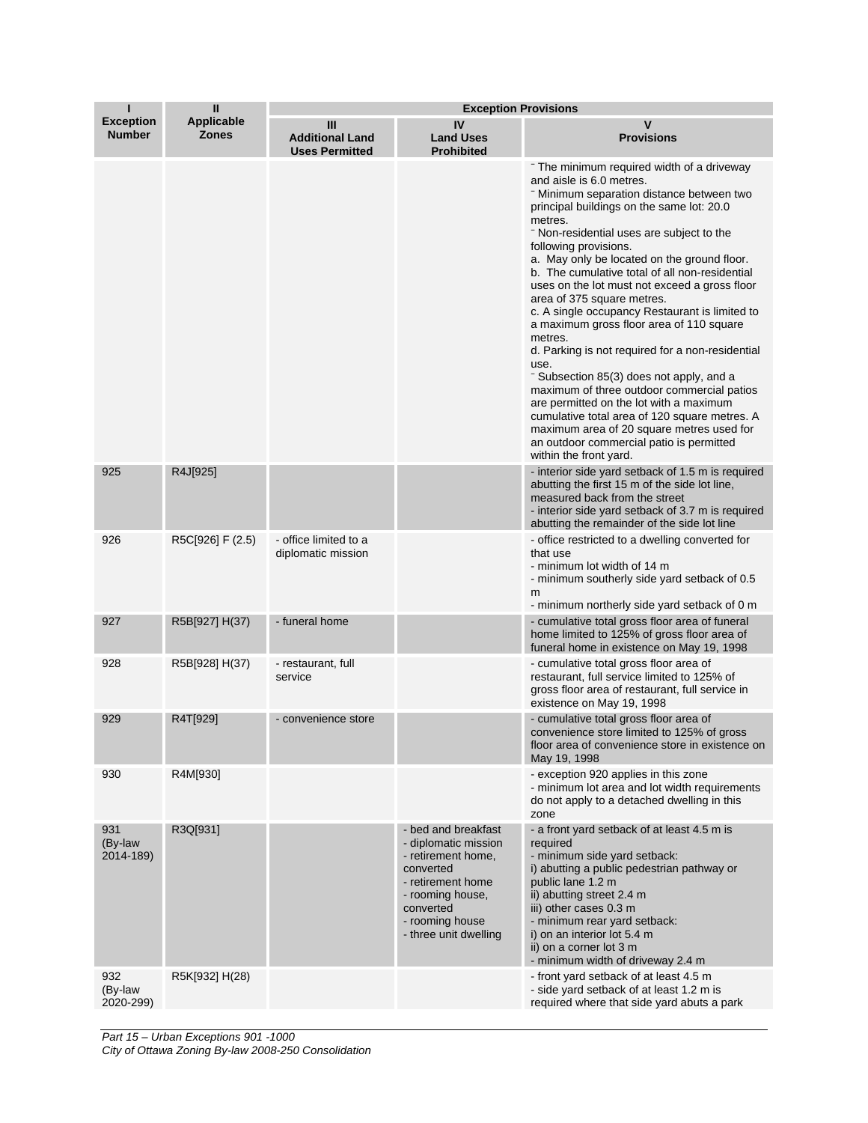| П                                 | $\mathbf{I}$               | <b>Exception Provisions</b>                          |                                                                                                                                                                                  |                                                                                                                                                                                                                                                                                                                                                                                                                                                                                                                                                                                                                                                                                                                                                                                                                                                                                                             |  |
|-----------------------------------|----------------------------|------------------------------------------------------|----------------------------------------------------------------------------------------------------------------------------------------------------------------------------------|-------------------------------------------------------------------------------------------------------------------------------------------------------------------------------------------------------------------------------------------------------------------------------------------------------------------------------------------------------------------------------------------------------------------------------------------------------------------------------------------------------------------------------------------------------------------------------------------------------------------------------------------------------------------------------------------------------------------------------------------------------------------------------------------------------------------------------------------------------------------------------------------------------------|--|
| <b>Exception</b><br><b>Number</b> | Applicable<br><b>Zones</b> | Ш<br><b>Additional Land</b><br><b>Uses Permitted</b> | IV<br><b>Land Uses</b><br><b>Prohibited</b>                                                                                                                                      | v<br><b>Provisions</b>                                                                                                                                                                                                                                                                                                                                                                                                                                                                                                                                                                                                                                                                                                                                                                                                                                                                                      |  |
|                                   |                            |                                                      |                                                                                                                                                                                  | The minimum required width of a driveway<br>and aisle is 6.0 metres.<br>Winimum separation distance between two<br>principal buildings on the same lot: 20.0<br>metres.<br>- Non-residential uses are subject to the<br>following provisions.<br>a. May only be located on the ground floor.<br>b. The cumulative total of all non-residential<br>uses on the lot must not exceed a gross floor<br>area of 375 square metres.<br>c. A single occupancy Restaurant is limited to<br>a maximum gross floor area of 110 square<br>metres.<br>d. Parking is not required for a non-residential<br>use.<br>- Subsection 85(3) does not apply, and a<br>maximum of three outdoor commercial patios<br>are permitted on the lot with a maximum<br>cumulative total area of 120 square metres. A<br>maximum area of 20 square metres used for<br>an outdoor commercial patio is permitted<br>within the front yard. |  |
| 925                               | R4J[925]                   |                                                      |                                                                                                                                                                                  | - interior side yard setback of 1.5 m is required<br>abutting the first 15 m of the side lot line,<br>measured back from the street<br>- interior side yard setback of 3.7 m is required<br>abutting the remainder of the side lot line                                                                                                                                                                                                                                                                                                                                                                                                                                                                                                                                                                                                                                                                     |  |
| 926                               | R5C[926] F (2.5)           | - office limited to a<br>diplomatic mission          |                                                                                                                                                                                  | - office restricted to a dwelling converted for<br>that use<br>- minimum lot width of 14 m<br>- minimum southerly side yard setback of 0.5<br>m<br>- minimum northerly side yard setback of 0 m                                                                                                                                                                                                                                                                                                                                                                                                                                                                                                                                                                                                                                                                                                             |  |
| 927                               | R5B[927] H(37)             | - funeral home                                       |                                                                                                                                                                                  | - cumulative total gross floor area of funeral<br>home limited to 125% of gross floor area of<br>funeral home in existence on May 19, 1998                                                                                                                                                                                                                                                                                                                                                                                                                                                                                                                                                                                                                                                                                                                                                                  |  |
| 928                               | R5B[928] H(37)             | - restaurant, full<br>service                        |                                                                                                                                                                                  | - cumulative total gross floor area of<br>restaurant, full service limited to 125% of<br>gross floor area of restaurant, full service in<br>existence on May 19, 1998                                                                                                                                                                                                                                                                                                                                                                                                                                                                                                                                                                                                                                                                                                                                       |  |
| 929                               | R4T[929]                   | - convenience store                                  |                                                                                                                                                                                  | - cumulative total gross floor area of<br>convenience store limited to 125% of gross<br>floor area of convenience store in existence on<br>May 19, 1998                                                                                                                                                                                                                                                                                                                                                                                                                                                                                                                                                                                                                                                                                                                                                     |  |
| 930                               | R4M[930]                   |                                                      |                                                                                                                                                                                  | - exception 920 applies in this zone<br>- minimum lot area and lot width requirements<br>do not apply to a detached dwelling in this<br>zone                                                                                                                                                                                                                                                                                                                                                                                                                                                                                                                                                                                                                                                                                                                                                                |  |
| 931<br>(By-law<br>2014-189)       | R3Q[931]                   |                                                      | - bed and breakfast<br>- diplomatic mission<br>- retirement home,<br>converted<br>- retirement home<br>- rooming house,<br>converted<br>- rooming house<br>- three unit dwelling | - a front yard setback of at least 4.5 m is<br>required<br>- minimum side yard setback:<br>i) abutting a public pedestrian pathway or<br>public lane 1.2 m<br>ii) abutting street 2.4 m<br>iii) other cases 0.3 m<br>- minimum rear yard setback:<br>i) on an interior lot 5.4 m<br>ii) on a corner lot 3 m<br>- minimum width of driveway 2.4 m                                                                                                                                                                                                                                                                                                                                                                                                                                                                                                                                                            |  |
| 932<br>(By-law<br>2020-299)       | R5K[932] H(28)             |                                                      |                                                                                                                                                                                  | - front yard setback of at least 4.5 m<br>- side yard setback of at least 1.2 m is<br>required where that side yard abuts a park                                                                                                                                                                                                                                                                                                                                                                                                                                                                                                                                                                                                                                                                                                                                                                            |  |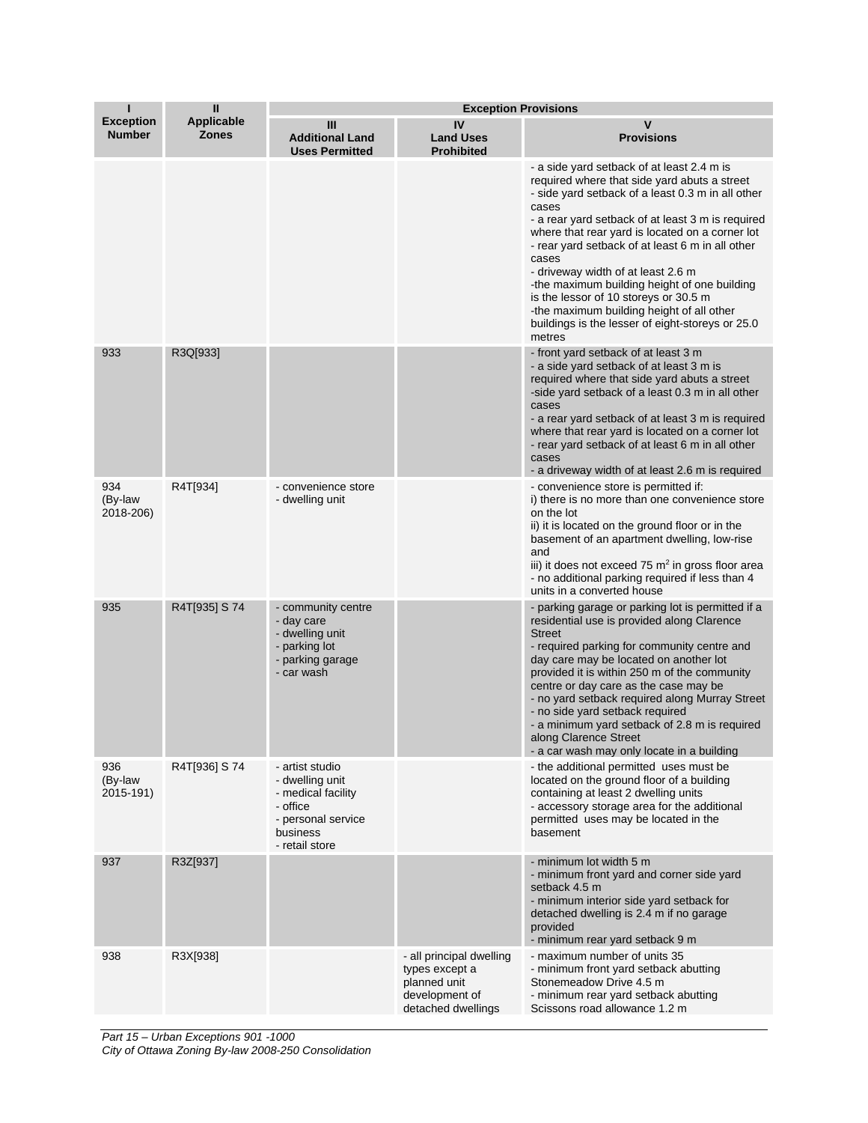| ı                                 | Ш                          | <b>Exception Provisions</b>                                                                                              |                                                                                                    |                                                                                                                                                                                                                                                                                                                                                                                                                                                                                                                                                                         |  |
|-----------------------------------|----------------------------|--------------------------------------------------------------------------------------------------------------------------|----------------------------------------------------------------------------------------------------|-------------------------------------------------------------------------------------------------------------------------------------------------------------------------------------------------------------------------------------------------------------------------------------------------------------------------------------------------------------------------------------------------------------------------------------------------------------------------------------------------------------------------------------------------------------------------|--|
| <b>Exception</b><br><b>Number</b> | Applicable<br><b>Zones</b> | Ш<br><b>Additional Land</b><br><b>Uses Permitted</b>                                                                     | IV<br><b>Land Uses</b><br><b>Prohibited</b>                                                        | v<br><b>Provisions</b>                                                                                                                                                                                                                                                                                                                                                                                                                                                                                                                                                  |  |
|                                   |                            |                                                                                                                          |                                                                                                    | - a side yard setback of at least 2.4 m is<br>required where that side yard abuts a street<br>- side yard setback of a least 0.3 m in all other<br>cases<br>- a rear yard setback of at least 3 m is required<br>where that rear yard is located on a corner lot<br>- rear yard setback of at least 6 m in all other<br>cases<br>- driveway width of at least 2.6 m<br>-the maximum building height of one building<br>is the lessor of 10 storeys or 30.5 m<br>-the maximum building height of all other<br>buildings is the lesser of eight-storeys or 25.0<br>metres |  |
| 933                               | R3Q[933]                   |                                                                                                                          |                                                                                                    | - front yard setback of at least 3 m<br>- a side yard setback of at least 3 m is<br>required where that side yard abuts a street<br>-side yard setback of a least 0.3 m in all other<br>cases<br>- a rear yard setback of at least 3 m is required<br>where that rear yard is located on a corner lot<br>- rear yard setback of at least 6 m in all other<br>cases<br>- a driveway width of at least 2.6 m is required                                                                                                                                                  |  |
| 934<br>(By-law<br>2018-206)       | R4T[934]                   | - convenience store<br>- dwelling unit                                                                                   |                                                                                                    | - convenience store is permitted if:<br>i) there is no more than one convenience store<br>on the lot<br>ii) it is located on the ground floor or in the<br>basement of an apartment dwelling, low-rise<br>and<br>iii) it does not exceed 75 $m2$ in gross floor area<br>- no additional parking required if less than 4<br>units in a converted house                                                                                                                                                                                                                   |  |
| 935                               | R4T[935] S 74              | - community centre<br>- day care<br>- dwelling unit<br>- parking lot<br>- parking garage<br>- car wash                   |                                                                                                    | - parking garage or parking lot is permitted if a<br>residential use is provided along Clarence<br><b>Street</b><br>- required parking for community centre and<br>day care may be located on another lot<br>provided it is within 250 m of the community<br>centre or day care as the case may be<br>- no yard setback required along Murray Street<br>- no side yard setback required<br>- a minimum yard setback of 2.8 m is required<br>along Clarence Street<br>- a car wash may only locate in a building                                                         |  |
| 936<br>(By-law<br>2015-191)       | R4T[936] S 74              | - artist studio<br>- dwelling unit<br>- medical facility<br>- office<br>- personal service<br>business<br>- retail store |                                                                                                    | - the additional permitted uses must be<br>located on the ground floor of a building<br>containing at least 2 dwelling units<br>- accessory storage area for the additional<br>permitted uses may be located in the<br>basement                                                                                                                                                                                                                                                                                                                                         |  |
| 937                               | R3Z[937]                   |                                                                                                                          |                                                                                                    | - minimum lot width 5 m<br>- minimum front yard and corner side yard<br>setback 4.5 m<br>- minimum interior side yard setback for<br>detached dwelling is 2.4 m if no garage<br>provided<br>- minimum rear yard setback 9 m                                                                                                                                                                                                                                                                                                                                             |  |
| 938                               | R3X[938]                   |                                                                                                                          | - all principal dwelling<br>types except a<br>planned unit<br>development of<br>detached dwellings | - maximum number of units 35<br>- minimum front yard setback abutting<br>Stonemeadow Drive 4.5 m<br>- minimum rear yard setback abutting<br>Scissons road allowance 1.2 m                                                                                                                                                                                                                                                                                                                                                                                               |  |

*Part 15 – Urban Exceptions 901 -1000 City of Ottawa Zoning By-law 2008-250 Consolidation*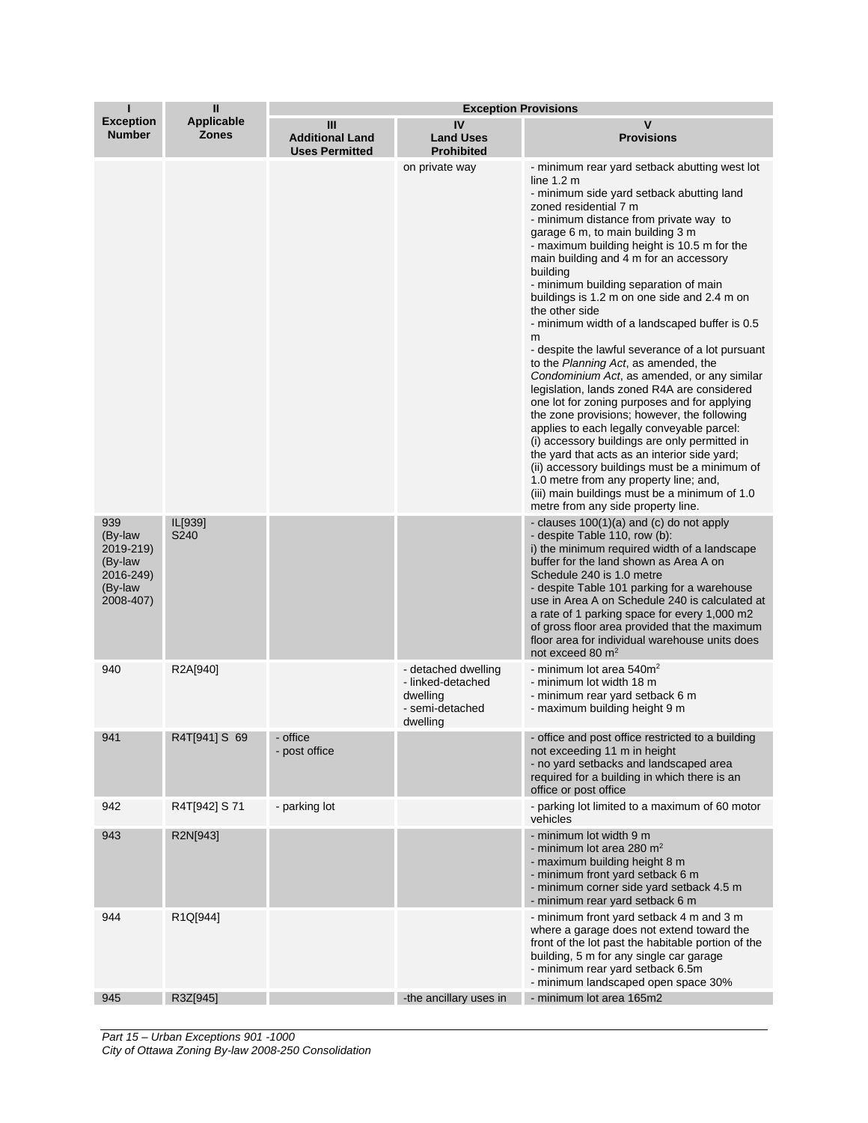| П                                                                           | $\mathbf{I}$               | <b>Exception Provisions</b>                          |                                                                                     |                                                                                                                                                                                                                                                                                                                                                                                                                                                                                                                                                                                                                                                                                                                                                                                                                                                                                                                                                                                                                                                                                                                 |  |
|-----------------------------------------------------------------------------|----------------------------|------------------------------------------------------|-------------------------------------------------------------------------------------|-----------------------------------------------------------------------------------------------------------------------------------------------------------------------------------------------------------------------------------------------------------------------------------------------------------------------------------------------------------------------------------------------------------------------------------------------------------------------------------------------------------------------------------------------------------------------------------------------------------------------------------------------------------------------------------------------------------------------------------------------------------------------------------------------------------------------------------------------------------------------------------------------------------------------------------------------------------------------------------------------------------------------------------------------------------------------------------------------------------------|--|
| <b>Exception</b><br><b>Number</b>                                           | Applicable<br><b>Zones</b> | Ш<br><b>Additional Land</b><br><b>Uses Permitted</b> | IV<br><b>Land Uses</b><br><b>Prohibited</b>                                         | v<br><b>Provisions</b>                                                                                                                                                                                                                                                                                                                                                                                                                                                                                                                                                                                                                                                                                                                                                                                                                                                                                                                                                                                                                                                                                          |  |
|                                                                             |                            |                                                      | on private way                                                                      | - minimum rear yard setback abutting west lot<br>line $1.2m$<br>- minimum side yard setback abutting land<br>zoned residential 7 m<br>- minimum distance from private way to<br>garage 6 m, to main building 3 m<br>- maximum building height is 10.5 m for the<br>main building and 4 m for an accessory<br>building<br>- minimum building separation of main<br>buildings is 1.2 m on one side and 2.4 m on<br>the other side<br>- minimum width of a landscaped buffer is 0.5<br>m<br>- despite the lawful severance of a lot pursuant<br>to the Planning Act, as amended, the<br>Condominium Act, as amended, or any similar<br>legislation, lands zoned R4A are considered<br>one lot for zoning purposes and for applying<br>the zone provisions; however, the following<br>applies to each legally conveyable parcel:<br>(i) accessory buildings are only permitted in<br>the yard that acts as an interior side yard;<br>(ii) accessory buildings must be a minimum of<br>1.0 metre from any property line; and,<br>(iii) main buildings must be a minimum of 1.0<br>metre from any side property line. |  |
| 939<br>(By-law<br>2019-219)<br>(By-law<br>2016-249)<br>(By-law<br>2008-407) | IL[939]<br>S240            |                                                      |                                                                                     | - clauses 100(1)(a) and (c) do not apply<br>- despite Table 110, row (b):<br>i) the minimum required width of a landscape<br>buffer for the land shown as Area A on<br>Schedule 240 is 1.0 metre<br>- despite Table 101 parking for a warehouse<br>use in Area A on Schedule 240 is calculated at<br>a rate of 1 parking space for every 1,000 m2<br>of gross floor area provided that the maximum<br>floor area for individual warehouse units does<br>not exceed 80 m <sup>2</sup>                                                                                                                                                                                                                                                                                                                                                                                                                                                                                                                                                                                                                            |  |
| 940                                                                         | R2A[940]                   |                                                      | - detached dwelling<br>- linked-detached<br>dwelling<br>- semi-detached<br>dwelling | - minimum lot area $540m2$<br>- minimum lot width 18 m<br>- minimum rear yard setback 6 m<br>- maximum building height 9 m                                                                                                                                                                                                                                                                                                                                                                                                                                                                                                                                                                                                                                                                                                                                                                                                                                                                                                                                                                                      |  |
| 941                                                                         | R4T[941] S 69              | - office<br>- post office                            |                                                                                     | - office and post office restricted to a building<br>not exceeding 11 m in height<br>- no yard setbacks and landscaped area<br>required for a building in which there is an<br>office or post office                                                                                                                                                                                                                                                                                                                                                                                                                                                                                                                                                                                                                                                                                                                                                                                                                                                                                                            |  |
| 942                                                                         | R4T[942] S 71              | - parking lot                                        |                                                                                     | - parking lot limited to a maximum of 60 motor<br>vehicles                                                                                                                                                                                                                                                                                                                                                                                                                                                                                                                                                                                                                                                                                                                                                                                                                                                                                                                                                                                                                                                      |  |
| 943                                                                         | R2N[943]                   |                                                      |                                                                                     | - minimum lot width 9 m<br>- minimum lot area 280 m <sup>2</sup><br>- maximum building height 8 m<br>- minimum front yard setback 6 m<br>- minimum corner side yard setback 4.5 m<br>- minimum rear yard setback 6 m                                                                                                                                                                                                                                                                                                                                                                                                                                                                                                                                                                                                                                                                                                                                                                                                                                                                                            |  |
| 944                                                                         | R1Q[944]                   |                                                      |                                                                                     | - minimum front yard setback 4 m and 3 m<br>where a garage does not extend toward the<br>front of the lot past the habitable portion of the<br>building, 5 m for any single car garage<br>- minimum rear yard setback 6.5m<br>- minimum landscaped open space 30%                                                                                                                                                                                                                                                                                                                                                                                                                                                                                                                                                                                                                                                                                                                                                                                                                                               |  |
| 945                                                                         | R3Z[945]                   |                                                      | -the ancillary uses in                                                              | - minimum lot area 165m2                                                                                                                                                                                                                                                                                                                                                                                                                                                                                                                                                                                                                                                                                                                                                                                                                                                                                                                                                                                                                                                                                        |  |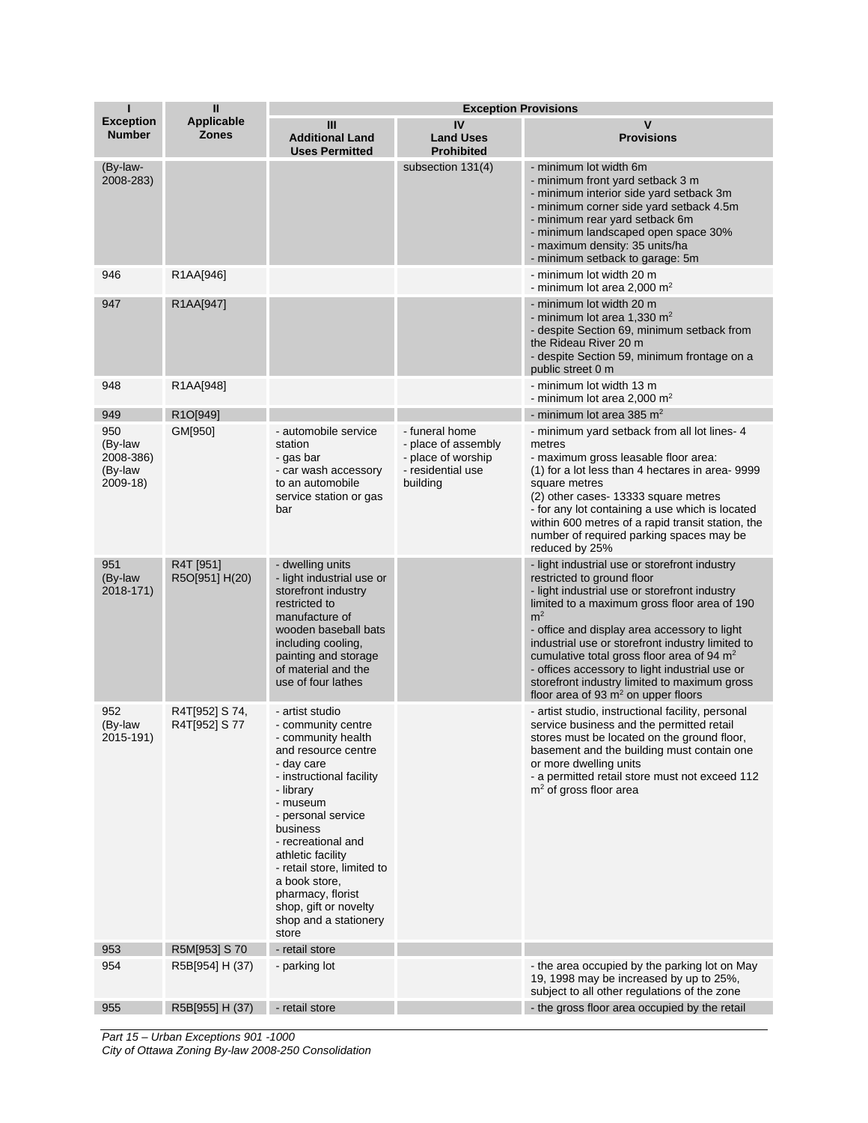| ı                                                  | $\mathbf{I}$                      | <b>Exception Provisions</b>                                                                                                                                                                                                                                                                                                                                       |                                                                                              |                                                                                                                                                                                                                                                                                                                                                                                                                                                                                               |
|----------------------------------------------------|-----------------------------------|-------------------------------------------------------------------------------------------------------------------------------------------------------------------------------------------------------------------------------------------------------------------------------------------------------------------------------------------------------------------|----------------------------------------------------------------------------------------------|-----------------------------------------------------------------------------------------------------------------------------------------------------------------------------------------------------------------------------------------------------------------------------------------------------------------------------------------------------------------------------------------------------------------------------------------------------------------------------------------------|
| <b>Exception</b><br><b>Number</b>                  | <b>Applicable</b><br><b>Zones</b> | Ш<br><b>Additional Land</b><br><b>Uses Permitted</b>                                                                                                                                                                                                                                                                                                              | IV<br><b>Land Uses</b><br><b>Prohibited</b>                                                  | $\mathbf v$<br><b>Provisions</b>                                                                                                                                                                                                                                                                                                                                                                                                                                                              |
| (By-law-<br>2008-283)                              |                                   |                                                                                                                                                                                                                                                                                                                                                                   | subsection 131(4)                                                                            | - minimum lot width 6m<br>- minimum front yard setback 3 m<br>- minimum interior side yard setback 3m<br>- minimum corner side yard setback 4.5m<br>- minimum rear yard setback 6m<br>- minimum landscaped open space 30%<br>- maximum density: 35 units/ha<br>- minimum setback to garage: 5m                                                                                                                                                                                                |
| 946                                                | R1AA[946]                         |                                                                                                                                                                                                                                                                                                                                                                   |                                                                                              | - minimum lot width 20 m<br>- minimum lot area 2,000 $m2$                                                                                                                                                                                                                                                                                                                                                                                                                                     |
| 947                                                | R1AA[947]                         |                                                                                                                                                                                                                                                                                                                                                                   |                                                                                              | - minimum lot width 20 m<br>- minimum lot area 1,330 $m2$<br>- despite Section 69, minimum setback from<br>the Rideau River 20 m<br>- despite Section 59, minimum frontage on a<br>public street 0 m                                                                                                                                                                                                                                                                                          |
| 948                                                | R1AA[948]                         |                                                                                                                                                                                                                                                                                                                                                                   |                                                                                              | - minimum lot width 13 m<br>- minimum lot area 2,000 m <sup>2</sup>                                                                                                                                                                                                                                                                                                                                                                                                                           |
| 949                                                | R1O[949]                          |                                                                                                                                                                                                                                                                                                                                                                   |                                                                                              | - minimum lot area 385 $m2$                                                                                                                                                                                                                                                                                                                                                                                                                                                                   |
| 950<br>(By-law<br>2008-386)<br>(By-law<br>2009-18) | GM[950]                           | - automobile service<br>station<br>- gas bar<br>- car wash accessory<br>to an automobile<br>service station or gas<br>bar                                                                                                                                                                                                                                         | - funeral home<br>- place of assembly<br>- place of worship<br>- residential use<br>building | - minimum yard setback from all lot lines- 4<br>metres<br>- maximum gross leasable floor area:<br>(1) for a lot less than 4 hectares in area- 9999<br>square metres<br>(2) other cases-13333 square metres<br>- for any lot containing a use which is located<br>within 600 metres of a rapid transit station, the<br>number of required parking spaces may be<br>reduced by 25%                                                                                                              |
| 951<br>(By-law<br>2018-171)                        | R4T [951]<br>R5O[951] H(20)       | - dwelling units<br>- light industrial use or<br>storefront industry<br>restricted to<br>manufacture of<br>wooden baseball bats<br>including cooling,<br>painting and storage<br>of material and the<br>use of four lathes                                                                                                                                        |                                                                                              | - light industrial use or storefront industry<br>restricted to ground floor<br>- light industrial use or storefront industry<br>limited to a maximum gross floor area of 190<br>m <sup>2</sup><br>- office and display area accessory to light<br>industrial use or storefront industry limited to<br>cumulative total gross floor area of 94 $m2$<br>- offices accessory to light industrial use or<br>storefront industry limited to maximum gross<br>floor area of 93 $m2$ on upper floors |
| 952<br>(By-law<br>2015-191)                        | R4T[952] S 74,<br>R4T[952] S 77   | - artist studio<br>- community centre<br>- community health<br>and resource centre<br>- day care<br>- instructional facility<br>- library<br>- museum<br>- personal service<br>business<br>- recreational and<br>athletic facility<br>- retail store, limited to<br>a book store,<br>pharmacy, florist<br>shop, gift or novelty<br>shop and a stationery<br>store |                                                                                              | - artist studio, instructional facility, personal<br>service business and the permitted retail<br>stores must be located on the ground floor,<br>basement and the building must contain one<br>or more dwelling units<br>- a permitted retail store must not exceed 112<br>$m2$ of gross floor area                                                                                                                                                                                           |
| 953                                                | R5M[953] S 70                     | - retail store                                                                                                                                                                                                                                                                                                                                                    |                                                                                              |                                                                                                                                                                                                                                                                                                                                                                                                                                                                                               |
| 954                                                | R5B[954] H (37)                   | - parking lot                                                                                                                                                                                                                                                                                                                                                     |                                                                                              | - the area occupied by the parking lot on May<br>19, 1998 may be increased by up to 25%,<br>subject to all other regulations of the zone                                                                                                                                                                                                                                                                                                                                                      |
| 955                                                | R5B[955] H (37)                   | - retail store                                                                                                                                                                                                                                                                                                                                                    |                                                                                              | - the gross floor area occupied by the retail                                                                                                                                                                                                                                                                                                                                                                                                                                                 |

*Part 15 – Urban Exceptions 901 -1000*

*City of Ottawa Zoning By-law 2008-250 Consolidation*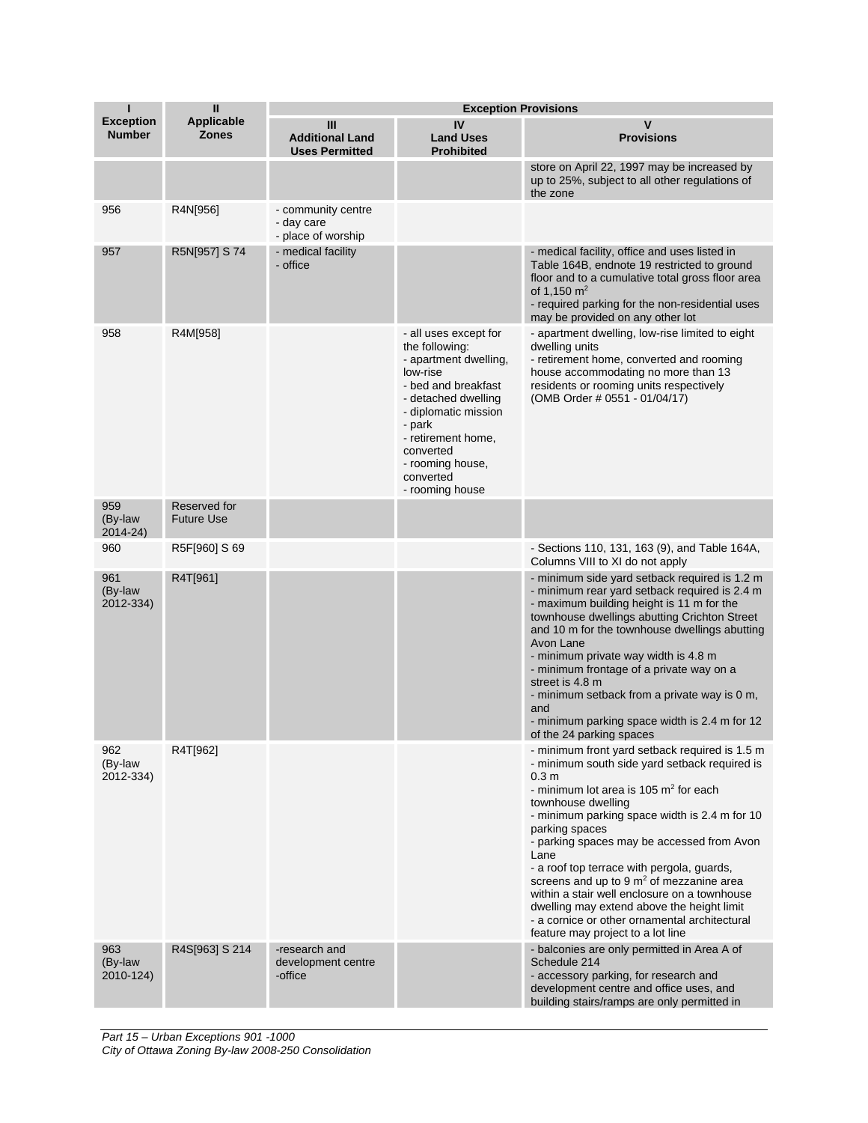| $\mathbf{I}$<br>п<br><b>Exception Provisions</b> |                                   |                                                        |                                                                                                                                                                                                                                                     |                                                                                                                                                                                                                                                                                                                                                                                                                                                                                                                                                                                               |
|--------------------------------------------------|-----------------------------------|--------------------------------------------------------|-----------------------------------------------------------------------------------------------------------------------------------------------------------------------------------------------------------------------------------------------------|-----------------------------------------------------------------------------------------------------------------------------------------------------------------------------------------------------------------------------------------------------------------------------------------------------------------------------------------------------------------------------------------------------------------------------------------------------------------------------------------------------------------------------------------------------------------------------------------------|
| <b>Exception</b><br><b>Number</b>                | Applicable<br><b>Zones</b>        | Ш<br><b>Additional Land</b><br><b>Uses Permitted</b>   | IV<br><b>Land Uses</b><br><b>Prohibited</b>                                                                                                                                                                                                         | v<br><b>Provisions</b>                                                                                                                                                                                                                                                                                                                                                                                                                                                                                                                                                                        |
|                                                  |                                   |                                                        |                                                                                                                                                                                                                                                     | store on April 22, 1997 may be increased by<br>up to 25%, subject to all other regulations of<br>the zone                                                                                                                                                                                                                                                                                                                                                                                                                                                                                     |
| 956                                              | R4N[956]                          | - community centre<br>- day care<br>- place of worship |                                                                                                                                                                                                                                                     |                                                                                                                                                                                                                                                                                                                                                                                                                                                                                                                                                                                               |
| 957                                              | R5N[957] S 74                     | - medical facility<br>- office                         |                                                                                                                                                                                                                                                     | - medical facility, office and uses listed in<br>Table 164B, endnote 19 restricted to ground<br>floor and to a cumulative total gross floor area<br>of 1,150 $m2$<br>- required parking for the non-residential uses<br>may be provided on any other lot                                                                                                                                                                                                                                                                                                                                      |
| 958                                              | R4M[958]                          |                                                        | - all uses except for<br>the following:<br>- apartment dwelling,<br>low-rise<br>- bed and breakfast<br>- detached dwelling<br>- diplomatic mission<br>- park<br>- retirement home,<br>converted<br>- rooming house,<br>converted<br>- rooming house | - apartment dwelling, low-rise limited to eight<br>dwelling units<br>- retirement home, converted and rooming<br>house accommodating no more than 13<br>residents or rooming units respectively<br>(OMB Order # 0551 - 01/04/17)                                                                                                                                                                                                                                                                                                                                                              |
| 959<br>(By-law<br>2014-24)                       | Reserved for<br><b>Future Use</b> |                                                        |                                                                                                                                                                                                                                                     |                                                                                                                                                                                                                                                                                                                                                                                                                                                                                                                                                                                               |
| 960                                              | R5F[960] S 69                     |                                                        |                                                                                                                                                                                                                                                     | - Sections 110, 131, 163 (9), and Table 164A,<br>Columns VIII to XI do not apply                                                                                                                                                                                                                                                                                                                                                                                                                                                                                                              |
| 961<br>(By-law<br>2012-334)                      | R4T[961]                          |                                                        |                                                                                                                                                                                                                                                     | - minimum side yard setback required is 1.2 m<br>- minimum rear yard setback required is 2.4 m<br>- maximum building height is 11 m for the<br>townhouse dwellings abutting Crichton Street<br>and 10 m for the townhouse dwellings abutting<br>Avon Lane<br>- minimum private way width is 4.8 m<br>- minimum frontage of a private way on a<br>street is 4.8 m<br>- minimum setback from a private way is 0 m,<br>and<br>- minimum parking space width is 2.4 m for 12<br>of the 24 parking spaces                                                                                          |
| 962<br>(By-law<br>2012-334)                      | R4T[962]                          |                                                        |                                                                                                                                                                                                                                                     | - minimum front yard setback required is 1.5 m<br>- minimum south side yard setback required is<br>0.3 <sub>m</sub><br>- minimum lot area is 105 $m2$ for each<br>townhouse dwelling<br>- minimum parking space width is 2.4 m for 10<br>parking spaces<br>- parking spaces may be accessed from Avon<br>Lane<br>- a roof top terrace with pergola, guards,<br>screens and up to 9 $m2$ of mezzanine area<br>within a stair well enclosure on a townhouse<br>dwelling may extend above the height limit<br>- a cornice or other ornamental architectural<br>feature may project to a lot line |
| 963<br>(By-law<br>2010-124)                      | R4S[963] S 214                    | -research and<br>development centre<br>-office         |                                                                                                                                                                                                                                                     | - balconies are only permitted in Area A of<br>Schedule 214<br>- accessory parking, for research and<br>development centre and office uses, and<br>building stairs/ramps are only permitted in                                                                                                                                                                                                                                                                                                                                                                                                |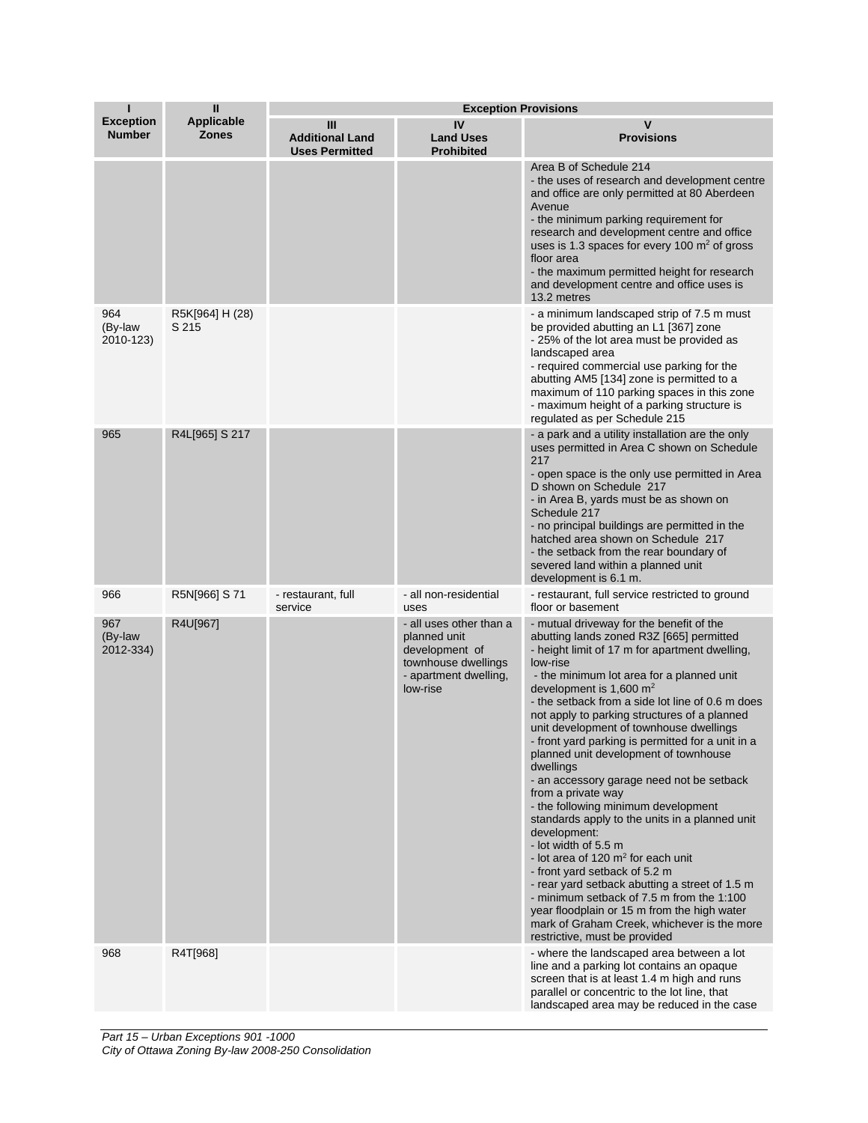| ı                                 | $\mathbf{I}$                      | <b>Exception Provisions</b>                          |                                                                                                                       |                                                                                                                                                                                                                                                                                                                                                                                                                                                                                                                                                                                                                                                                                                                                                                                                                                                                                                                                                                                                            |
|-----------------------------------|-----------------------------------|------------------------------------------------------|-----------------------------------------------------------------------------------------------------------------------|------------------------------------------------------------------------------------------------------------------------------------------------------------------------------------------------------------------------------------------------------------------------------------------------------------------------------------------------------------------------------------------------------------------------------------------------------------------------------------------------------------------------------------------------------------------------------------------------------------------------------------------------------------------------------------------------------------------------------------------------------------------------------------------------------------------------------------------------------------------------------------------------------------------------------------------------------------------------------------------------------------|
| <b>Exception</b><br><b>Number</b> | <b>Applicable</b><br><b>Zones</b> | Ш<br><b>Additional Land</b><br><b>Uses Permitted</b> | IV<br><b>Land Uses</b><br><b>Prohibited</b>                                                                           | v<br><b>Provisions</b>                                                                                                                                                                                                                                                                                                                                                                                                                                                                                                                                                                                                                                                                                                                                                                                                                                                                                                                                                                                     |
|                                   |                                   |                                                      |                                                                                                                       | Area B of Schedule 214<br>- the uses of research and development centre<br>and office are only permitted at 80 Aberdeen<br>Avenue<br>- the minimum parking requirement for<br>research and development centre and office<br>uses is 1.3 spaces for every 100 $m2$ of gross<br>floor area<br>- the maximum permitted height for research<br>and development centre and office uses is<br>13.2 metres                                                                                                                                                                                                                                                                                                                                                                                                                                                                                                                                                                                                        |
| 964<br>(By-law<br>2010-123)       | R5K[964] H (28)<br>S 215          |                                                      |                                                                                                                       | - a minimum landscaped strip of 7.5 m must<br>be provided abutting an L1 [367] zone<br>- 25% of the lot area must be provided as<br>landscaped area<br>- required commercial use parking for the<br>abutting AM5 [134] zone is permitted to a<br>maximum of 110 parking spaces in this zone<br>- maximum height of a parking structure is<br>regulated as per Schedule 215                                                                                                                                                                                                                                                                                                                                                                                                                                                                                                                                                                                                                                 |
| 965                               | R4L[965] S 217                    |                                                      |                                                                                                                       | - a park and a utility installation are the only<br>uses permitted in Area C shown on Schedule<br>217<br>- open space is the only use permitted in Area<br>D shown on Schedule 217<br>- in Area B, yards must be as shown on<br>Schedule 217<br>- no principal buildings are permitted in the<br>hatched area shown on Schedule 217<br>- the setback from the rear boundary of<br>severed land within a planned unit<br>development is 6.1 m.                                                                                                                                                                                                                                                                                                                                                                                                                                                                                                                                                              |
| 966                               | R5N[966] S 71                     | - restaurant, full<br>service                        | - all non-residential<br>uses                                                                                         | - restaurant, full service restricted to ground<br>floor or basement                                                                                                                                                                                                                                                                                                                                                                                                                                                                                                                                                                                                                                                                                                                                                                                                                                                                                                                                       |
| 967<br>(By-law<br>2012-334)       | R4U[967]                          |                                                      | - all uses other than a<br>planned unit<br>development of<br>townhouse dwellings<br>- apartment dwelling,<br>low-rise | - mutual driveway for the benefit of the<br>abutting lands zoned R3Z [665] permitted<br>- height limit of 17 m for apartment dwelling,<br>low-rise<br>- the minimum lot area for a planned unit<br>development is 1,600 $m2$<br>- the setback from a side lot line of 0.6 m does<br>not apply to parking structures of a planned<br>unit development of townhouse dwellings<br>- front yard parking is permitted for a unit in a<br>planned unit development of townhouse<br>dwellings<br>- an accessory garage need not be setback<br>from a private way<br>- the following minimum development<br>standards apply to the units in a planned unit<br>development:<br>- lot width of 5.5 m<br>- lot area of $120 \text{ m}^2$ for each unit<br>- front yard setback of 5.2 m<br>- rear yard setback abutting a street of 1.5 m<br>- minimum setback of 7.5 m from the 1:100<br>year floodplain or 15 m from the high water<br>mark of Graham Creek, whichever is the more<br>restrictive, must be provided |
| 968                               | R4T[968]                          |                                                      |                                                                                                                       | - where the landscaped area between a lot<br>line and a parking lot contains an opaque<br>screen that is at least 1.4 m high and runs<br>parallel or concentric to the lot line, that<br>landscaped area may be reduced in the case                                                                                                                                                                                                                                                                                                                                                                                                                                                                                                                                                                                                                                                                                                                                                                        |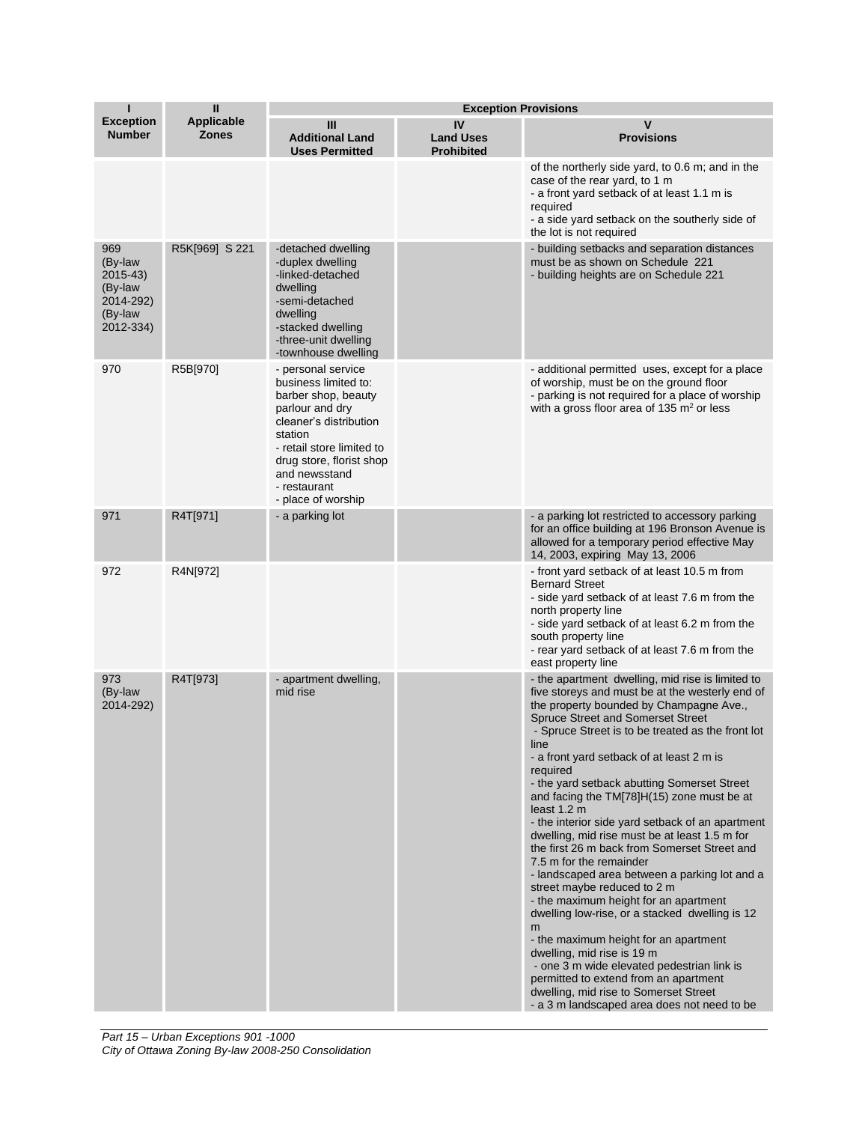|                                                                            | $\mathbf{I}$               |                                                                                                                                                                                                                                           | <b>Exception Provisions</b>                 |                                                                                                                                                                                                                                                                                                                                                                                                                                                                                                                                                                                                                                                                                                                                                                                                                                                                                                                                                                                                                                                      |
|----------------------------------------------------------------------------|----------------------------|-------------------------------------------------------------------------------------------------------------------------------------------------------------------------------------------------------------------------------------------|---------------------------------------------|------------------------------------------------------------------------------------------------------------------------------------------------------------------------------------------------------------------------------------------------------------------------------------------------------------------------------------------------------------------------------------------------------------------------------------------------------------------------------------------------------------------------------------------------------------------------------------------------------------------------------------------------------------------------------------------------------------------------------------------------------------------------------------------------------------------------------------------------------------------------------------------------------------------------------------------------------------------------------------------------------------------------------------------------------|
| <b>Exception</b><br><b>Number</b>                                          | Applicable<br><b>Zones</b> | Ш<br><b>Additional Land</b><br><b>Uses Permitted</b>                                                                                                                                                                                      | IV<br><b>Land Uses</b><br><b>Prohibited</b> | v<br><b>Provisions</b>                                                                                                                                                                                                                                                                                                                                                                                                                                                                                                                                                                                                                                                                                                                                                                                                                                                                                                                                                                                                                               |
|                                                                            |                            |                                                                                                                                                                                                                                           |                                             | of the northerly side yard, to 0.6 m; and in the<br>case of the rear yard, to 1 m<br>- a front yard setback of at least 1.1 m is<br>required<br>- a side yard setback on the southerly side of<br>the lot is not required                                                                                                                                                                                                                                                                                                                                                                                                                                                                                                                                                                                                                                                                                                                                                                                                                            |
| 969<br>(By-law<br>2015-43)<br>(By-law<br>2014-292)<br>(By-law<br>2012-334) | R5K[969] S 221             | -detached dwelling<br>-duplex dwelling<br>-linked-detached<br>dwelling<br>-semi-detached<br>dwelling<br>-stacked dwelling<br>-three-unit dwelling<br>-townhouse dwelling                                                                  |                                             | - building setbacks and separation distances<br>must be as shown on Schedule 221<br>- building heights are on Schedule 221                                                                                                                                                                                                                                                                                                                                                                                                                                                                                                                                                                                                                                                                                                                                                                                                                                                                                                                           |
| 970                                                                        | R5B[970]                   | - personal service<br>business limited to:<br>barber shop, beauty<br>parlour and dry<br>cleaner's distribution<br>station<br>- retail store limited to<br>drug store, florist shop<br>and newsstand<br>- restaurant<br>- place of worship |                                             | - additional permitted uses, except for a place<br>of worship, must be on the ground floor<br>- parking is not required for a place of worship<br>with a gross floor area of 135 $m2$ or less                                                                                                                                                                                                                                                                                                                                                                                                                                                                                                                                                                                                                                                                                                                                                                                                                                                        |
| 971                                                                        | R4T[971]                   | - a parking lot                                                                                                                                                                                                                           |                                             | - a parking lot restricted to accessory parking<br>for an office building at 196 Bronson Avenue is<br>allowed for a temporary period effective May<br>14, 2003, expiring May 13, 2006                                                                                                                                                                                                                                                                                                                                                                                                                                                                                                                                                                                                                                                                                                                                                                                                                                                                |
| 972                                                                        | R4N[972]                   |                                                                                                                                                                                                                                           |                                             | - front yard setback of at least 10.5 m from<br><b>Bernard Street</b><br>- side yard setback of at least 7.6 m from the<br>north property line<br>- side yard setback of at least 6.2 m from the<br>south property line<br>- rear yard setback of at least 7.6 m from the<br>east property line                                                                                                                                                                                                                                                                                                                                                                                                                                                                                                                                                                                                                                                                                                                                                      |
| 973<br>(By-law<br>2014-292)                                                | R4T[973]                   | - apartment dwelling,<br>mid rise                                                                                                                                                                                                         |                                             | - the apartment dwelling, mid rise is limited to<br>five storeys and must be at the westerly end of<br>the property bounded by Champagne Ave.,<br><b>Spruce Street and Somerset Street</b><br>- Spruce Street is to be treated as the front lot<br>line<br>- a front yard setback of at least 2 m is<br>required<br>- the yard setback abutting Somerset Street<br>and facing the $TM[78]H(15)$ zone must be at<br>least 1.2 m<br>- the interior side yard setback of an apartment<br>dwelling, mid rise must be at least 1.5 m for<br>the first 26 m back from Somerset Street and<br>7.5 m for the remainder<br>- landscaped area between a parking lot and a<br>street maybe reduced to 2 m<br>- the maximum height for an apartment<br>dwelling low-rise, or a stacked dwelling is 12<br>m<br>- the maximum height for an apartment<br>dwelling, mid rise is 19 m<br>- one 3 m wide elevated pedestrian link is<br>permitted to extend from an apartment<br>dwelling, mid rise to Somerset Street<br>- a 3 m landscaped area does not need to be |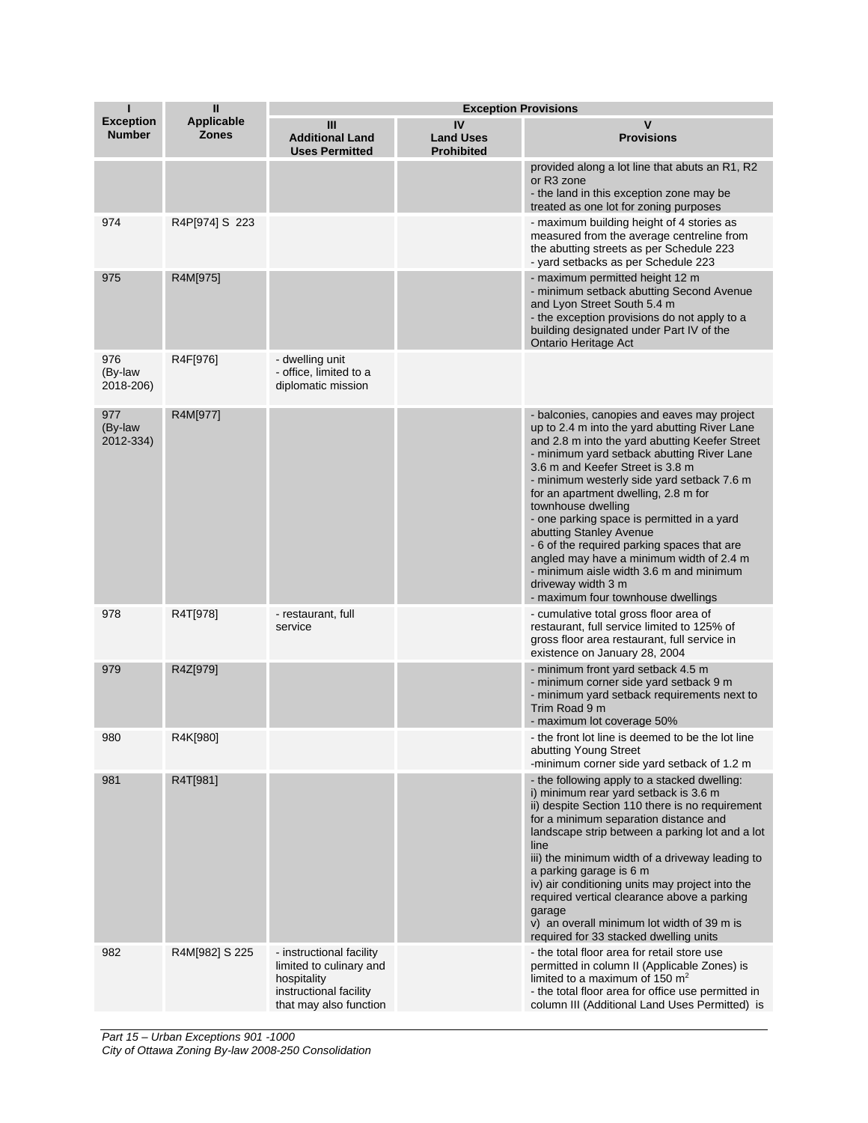| П                                 | $\mathbf{I}$                      | <b>Exception Provisions</b>                                                                                            |                                             |                                                                                                                                                                                                                                                                                                                                                                                                                                                                                                                                                                                                                         |
|-----------------------------------|-----------------------------------|------------------------------------------------------------------------------------------------------------------------|---------------------------------------------|-------------------------------------------------------------------------------------------------------------------------------------------------------------------------------------------------------------------------------------------------------------------------------------------------------------------------------------------------------------------------------------------------------------------------------------------------------------------------------------------------------------------------------------------------------------------------------------------------------------------------|
| <b>Exception</b><br><b>Number</b> | <b>Applicable</b><br><b>Zones</b> | Ш<br><b>Additional Land</b><br><b>Uses Permitted</b>                                                                   | IV<br><b>Land Uses</b><br><b>Prohibited</b> | v<br><b>Provisions</b>                                                                                                                                                                                                                                                                                                                                                                                                                                                                                                                                                                                                  |
|                                   |                                   |                                                                                                                        |                                             | provided along a lot line that abuts an R1, R2<br>or R <sub>3</sub> zone<br>- the land in this exception zone may be<br>treated as one lot for zoning purposes                                                                                                                                                                                                                                                                                                                                                                                                                                                          |
| 974                               | R4P[974] S 223                    |                                                                                                                        |                                             | - maximum building height of 4 stories as<br>measured from the average centreline from<br>the abutting streets as per Schedule 223<br>- yard setbacks as per Schedule 223                                                                                                                                                                                                                                                                                                                                                                                                                                               |
| 975                               | R4M[975]                          |                                                                                                                        |                                             | - maximum permitted height 12 m<br>- minimum setback abutting Second Avenue<br>and Lyon Street South 5.4 m<br>- the exception provisions do not apply to a<br>building designated under Part IV of the<br>Ontario Heritage Act                                                                                                                                                                                                                                                                                                                                                                                          |
| 976<br>(By-law<br>2018-206)       | R4F[976]                          | - dwelling unit<br>- office, limited to a<br>diplomatic mission                                                        |                                             |                                                                                                                                                                                                                                                                                                                                                                                                                                                                                                                                                                                                                         |
| 977<br>(By-law<br>2012-334)       | R4M[977]                          |                                                                                                                        |                                             | - balconies, canopies and eaves may project<br>up to 2.4 m into the yard abutting River Lane<br>and 2.8 m into the yard abutting Keefer Street<br>- minimum yard setback abutting River Lane<br>3.6 m and Keefer Street is 3.8 m<br>- minimum westerly side yard setback 7.6 m<br>for an apartment dwelling, 2.8 m for<br>townhouse dwelling<br>- one parking space is permitted in a yard<br>abutting Stanley Avenue<br>- 6 of the required parking spaces that are<br>angled may have a minimum width of 2.4 m<br>- minimum aisle width 3.6 m and minimum<br>driveway width 3 m<br>- maximum four townhouse dwellings |
| 978                               | R4T[978]                          | - restaurant, full<br>service                                                                                          |                                             | - cumulative total gross floor area of<br>restaurant, full service limited to 125% of<br>gross floor area restaurant, full service in<br>existence on January 28, 2004                                                                                                                                                                                                                                                                                                                                                                                                                                                  |
| 979                               | R4Z[979]                          |                                                                                                                        |                                             | - minimum front yard setback 4.5 m<br>- minimum corner side yard setback 9 m<br>- minimum yard setback requirements next to<br>Trim Road 9 m<br>- maximum lot coverage 50%                                                                                                                                                                                                                                                                                                                                                                                                                                              |
| 980                               | R4K[980]                          |                                                                                                                        |                                             | - the front lot line is deemed to be the lot line<br>abutting Young Street<br>-minimum corner side yard setback of 1.2 m                                                                                                                                                                                                                                                                                                                                                                                                                                                                                                |
| 981                               | R4T[981]                          |                                                                                                                        |                                             | - the following apply to a stacked dwelling:<br>i) minimum rear yard setback is 3.6 m<br>ii) despite Section 110 there is no requirement<br>for a minimum separation distance and<br>landscape strip between a parking lot and a lot<br>line<br>iii) the minimum width of a driveway leading to<br>a parking garage is 6 m<br>iv) air conditioning units may project into the<br>required vertical clearance above a parking<br>garage<br>v) an overall minimum lot width of 39 m is<br>required for 33 stacked dwelling units                                                                                          |
| 982                               | R4M[982] S 225                    | - instructional facility<br>limited to culinary and<br>hospitality<br>instructional facility<br>that may also function |                                             | - the total floor area for retail store use<br>permitted in column II (Applicable Zones) is<br>limited to a maximum of 150 $m2$<br>- the total floor area for office use permitted in<br>column III (Additional Land Uses Permitted) is                                                                                                                                                                                                                                                                                                                                                                                 |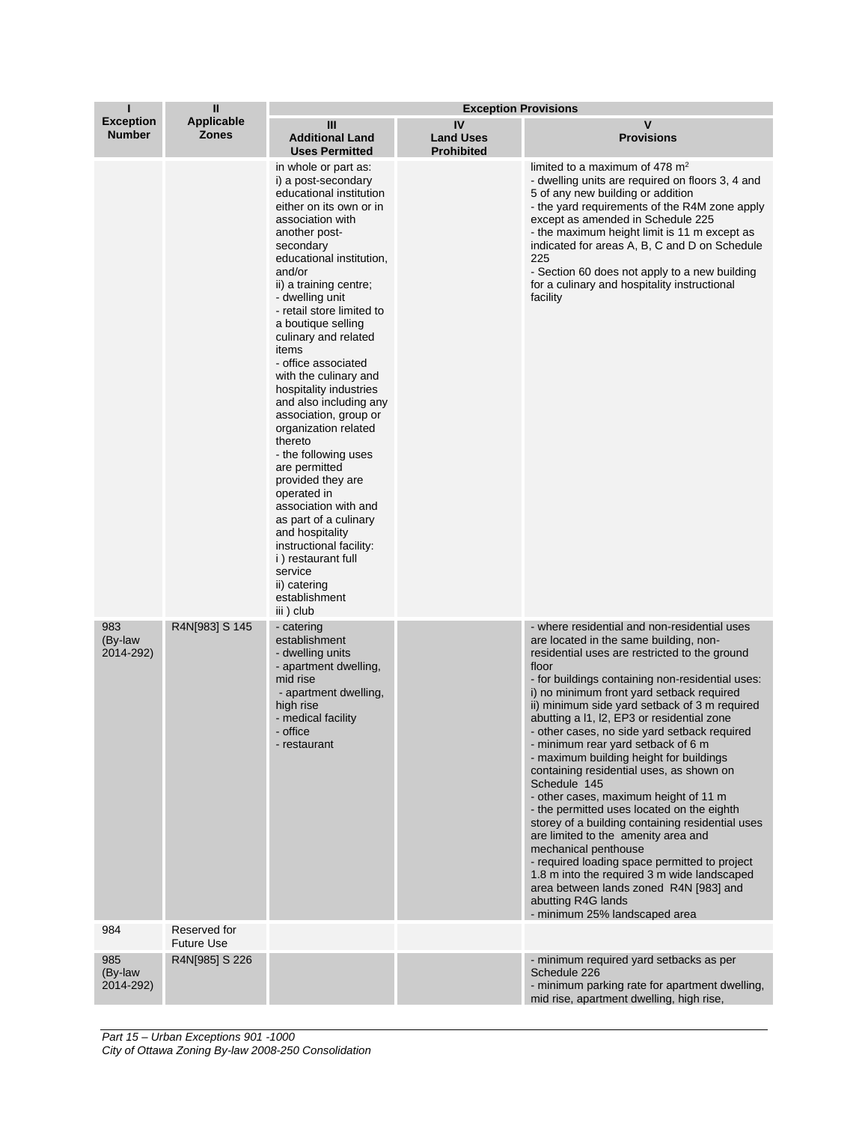| П                                 | $\mathbf{I}$<br>Applicable<br><b>Zones</b> | <b>Exception Provisions</b>                                                                                                                                                                                                                                                                                                                                                                                                                                                                                                                                                                                                                                                                                                                                   |                                             |                                                                                                                                                                                                                                                                                                                                                                                                                                                                                                                                                                                                                                                                                                                                                                                                                                                                                                                                                          |  |
|-----------------------------------|--------------------------------------------|---------------------------------------------------------------------------------------------------------------------------------------------------------------------------------------------------------------------------------------------------------------------------------------------------------------------------------------------------------------------------------------------------------------------------------------------------------------------------------------------------------------------------------------------------------------------------------------------------------------------------------------------------------------------------------------------------------------------------------------------------------------|---------------------------------------------|----------------------------------------------------------------------------------------------------------------------------------------------------------------------------------------------------------------------------------------------------------------------------------------------------------------------------------------------------------------------------------------------------------------------------------------------------------------------------------------------------------------------------------------------------------------------------------------------------------------------------------------------------------------------------------------------------------------------------------------------------------------------------------------------------------------------------------------------------------------------------------------------------------------------------------------------------------|--|
| <b>Exception</b><br><b>Number</b> |                                            | Ш<br><b>Additional Land</b><br><b>Uses Permitted</b>                                                                                                                                                                                                                                                                                                                                                                                                                                                                                                                                                                                                                                                                                                          | IV<br><b>Land Uses</b><br><b>Prohibited</b> | v<br><b>Provisions</b>                                                                                                                                                                                                                                                                                                                                                                                                                                                                                                                                                                                                                                                                                                                                                                                                                                                                                                                                   |  |
|                                   |                                            | in whole or part as:<br>i) a post-secondary<br>educational institution<br>either on its own or in<br>association with<br>another post-<br>secondary<br>educational institution,<br>and/or<br>ii) a training centre;<br>- dwelling unit<br>- retail store limited to<br>a boutique selling<br>culinary and related<br>items<br>- office associated<br>with the culinary and<br>hospitality industries<br>and also including any<br>association, group or<br>organization related<br>thereto<br>- the following uses<br>are permitted<br>provided they are<br>operated in<br>association with and<br>as part of a culinary<br>and hospitality<br>instructional facility:<br><i>i</i> ) restaurant full<br>service<br>ii) catering<br>establishment<br>iii) club |                                             | limited to a maximum of 478 $m2$<br>- dwelling units are required on floors 3, 4 and<br>5 of any new building or addition<br>- the yard requirements of the R4M zone apply<br>except as amended in Schedule 225<br>- the maximum height limit is 11 m except as<br>indicated for areas A, B, C and D on Schedule<br>225<br>- Section 60 does not apply to a new building<br>for a culinary and hospitality instructional<br>facility                                                                                                                                                                                                                                                                                                                                                                                                                                                                                                                     |  |
| 983<br>(By-law<br>2014-292)       | R4N[983] S 145                             | - catering<br>establishment<br>- dwelling units<br>- apartment dwelling,<br>mid rise<br>- apartment dwelling,<br>high rise<br>- medical facility<br>- office<br>- restaurant                                                                                                                                                                                                                                                                                                                                                                                                                                                                                                                                                                                  |                                             | - where residential and non-residential uses<br>are located in the same building, non-<br>residential uses are restricted to the ground<br>floor<br>- for buildings containing non-residential uses:<br>i) no minimum front yard setback required<br>ii) minimum side yard setback of 3 m required<br>abutting a I1, I2, EP3 or residential zone<br>- other cases, no side yard setback required<br>- minimum rear yard setback of 6 m<br>- maximum building height for buildings<br>containing residential uses, as shown on<br>Schedule 145<br>- other cases, maximum height of 11 m<br>- the permitted uses located on the eighth<br>storey of a building containing residential uses<br>are limited to the amenity area and<br>mechanical penthouse<br>- required loading space permitted to project<br>1.8 m into the required 3 m wide landscaped<br>area between lands zoned R4N [983] and<br>abutting R4G lands<br>- minimum 25% landscaped area |  |
| 984                               | Reserved for<br><b>Future Use</b>          |                                                                                                                                                                                                                                                                                                                                                                                                                                                                                                                                                                                                                                                                                                                                                               |                                             |                                                                                                                                                                                                                                                                                                                                                                                                                                                                                                                                                                                                                                                                                                                                                                                                                                                                                                                                                          |  |
| 985<br>(By-law<br>2014-292)       | R4N[985] S 226                             |                                                                                                                                                                                                                                                                                                                                                                                                                                                                                                                                                                                                                                                                                                                                                               |                                             | - minimum required yard setbacks as per<br>Schedule 226<br>- minimum parking rate for apartment dwelling,<br>mid rise, apartment dwelling, high rise,                                                                                                                                                                                                                                                                                                                                                                                                                                                                                                                                                                                                                                                                                                                                                                                                    |  |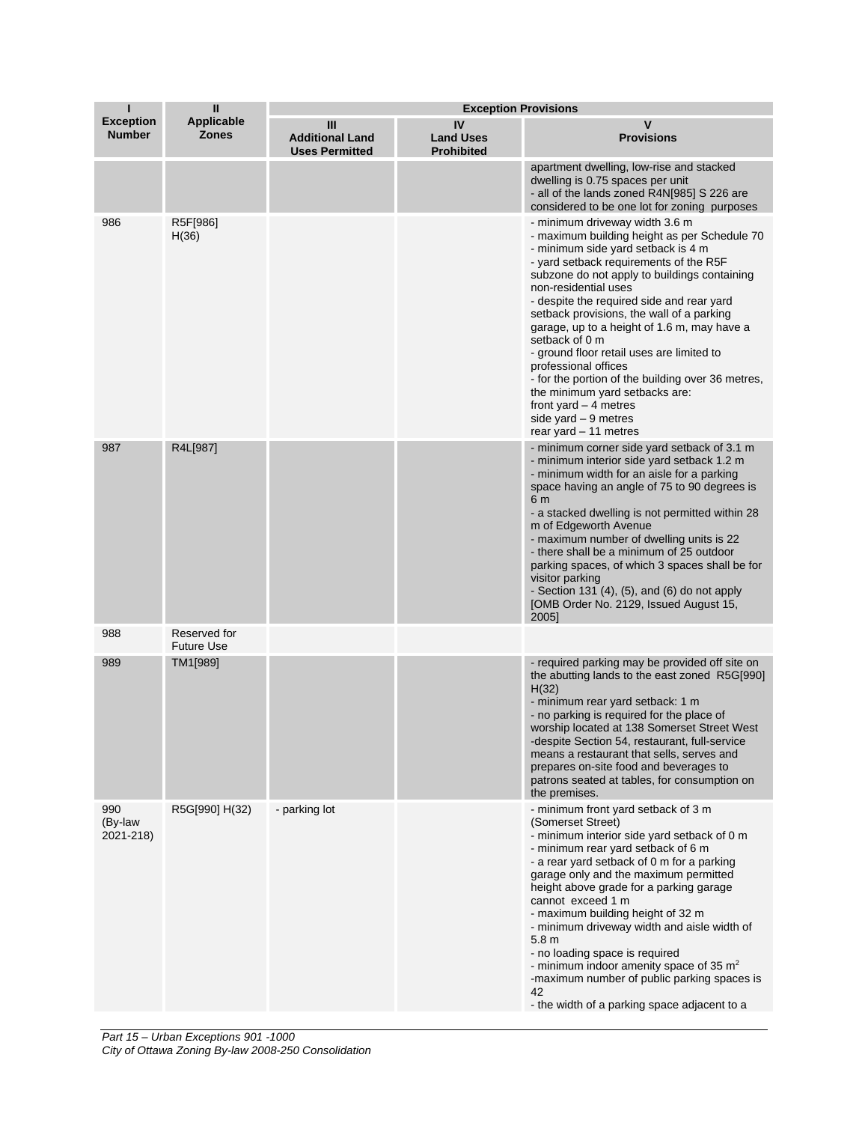| П                                 | $\mathbf{I}$                      | <b>Exception Provisions</b>                          |                                             |                                                                                                                                                                                                                                                                                                                                                                                                                                                                                                                                                                                                                                           |
|-----------------------------------|-----------------------------------|------------------------------------------------------|---------------------------------------------|-------------------------------------------------------------------------------------------------------------------------------------------------------------------------------------------------------------------------------------------------------------------------------------------------------------------------------------------------------------------------------------------------------------------------------------------------------------------------------------------------------------------------------------------------------------------------------------------------------------------------------------------|
| <b>Exception</b><br><b>Number</b> | <b>Applicable</b><br><b>Zones</b> | Ш<br><b>Additional Land</b><br><b>Uses Permitted</b> | IV<br><b>Land Uses</b><br><b>Prohibited</b> | v<br><b>Provisions</b>                                                                                                                                                                                                                                                                                                                                                                                                                                                                                                                                                                                                                    |
|                                   |                                   |                                                      |                                             | apartment dwelling, low-rise and stacked<br>dwelling is 0.75 spaces per unit<br>- all of the lands zoned R4N[985] S 226 are<br>considered to be one lot for zoning purposes                                                                                                                                                                                                                                                                                                                                                                                                                                                               |
| 986                               | R5F[986]<br>H(36)                 |                                                      |                                             | - minimum driveway width 3.6 m<br>- maximum building height as per Schedule 70<br>- minimum side yard setback is 4 m<br>- yard setback requirements of the R5F<br>subzone do not apply to buildings containing<br>non-residential uses<br>- despite the required side and rear yard<br>setback provisions, the wall of a parking<br>garage, up to a height of 1.6 m, may have a<br>setback of 0 m<br>- ground floor retail uses are limited to<br>professional offices<br>- for the portion of the building over 36 metres,<br>the minimum yard setbacks are:<br>front yard $-4$ metres<br>side yard $-9$ metres<br>rear yard - 11 metres |
| 987                               | R4L[987]                          |                                                      |                                             | - minimum corner side yard setback of 3.1 m<br>- minimum interior side yard setback 1.2 m<br>- minimum width for an aisle for a parking<br>space having an angle of 75 to 90 degrees is<br>6 m<br>- a stacked dwelling is not permitted within 28<br>m of Edgeworth Avenue<br>- maximum number of dwelling units is 22<br>- there shall be a minimum of 25 outdoor<br>parking spaces, of which 3 spaces shall be for<br>visitor parking<br>- Section 131 $(4)$ , $(5)$ , and $(6)$ do not apply<br>[OMB Order No. 2129, Issued August 15,<br>2005]                                                                                        |
| 988                               | Reserved for<br><b>Future Use</b> |                                                      |                                             |                                                                                                                                                                                                                                                                                                                                                                                                                                                                                                                                                                                                                                           |
| 989                               | TM1[989]                          |                                                      |                                             | - required parking may be provided off site on<br>the abutting lands to the east zoned R5G[990]<br>H(32)<br>- minimum rear yard setback: 1 m<br>- no parking is required for the place of<br>worship located at 138 Somerset Street West<br>-despite Section 54, restaurant, full-service<br>means a restaurant that sells, serves and<br>prepares on-site food and beverages to<br>patrons seated at tables, for consumption on<br>the premises.                                                                                                                                                                                         |
| 990<br>(By-law<br>2021-218)       | R5G[990] H(32)                    | - parking lot                                        |                                             | - minimum front yard setback of 3 m<br>(Somerset Street)<br>- minimum interior side yard setback of 0 m<br>- minimum rear yard setback of 6 m<br>- a rear yard setback of 0 m for a parking<br>garage only and the maximum permitted<br>height above grade for a parking garage<br>cannot exceed 1 m<br>- maximum building height of 32 m<br>- minimum driveway width and aisle width of<br>5.8 <sub>m</sub><br>- no loading space is required<br>- minimum indoor amenity space of 35 $m2$<br>-maximum number of public parking spaces is<br>42<br>- the width of a parking space adjacent to a                                          |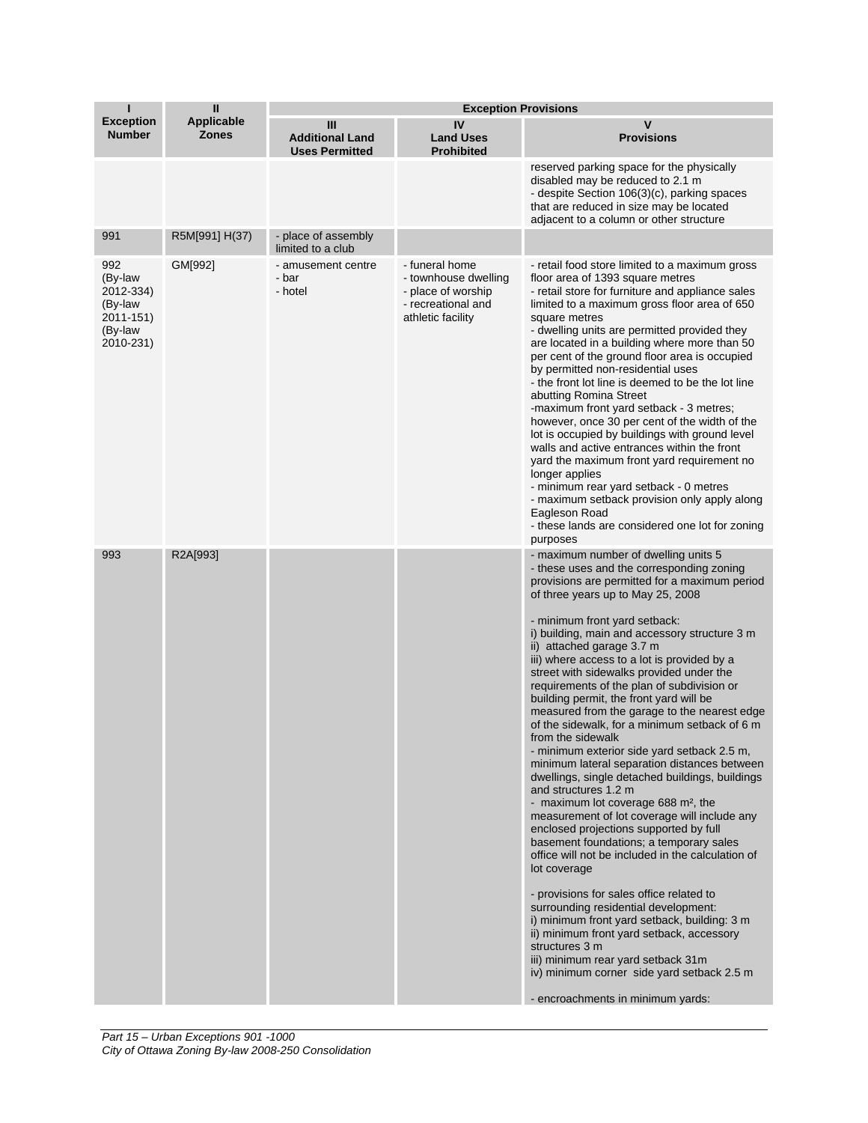| п                                                                           | $\mathbf{I}$                      | <b>Exception Provisions</b>                          |                                                                                                         |                                                                                                                                                                                                                                                                                                                                                                                                                                                                                                                                                                                                                                                                                                                                                                                                                                                                                                                                                                                                                                                                                                                                                                                                                                                                                                                                                                     |  |
|-----------------------------------------------------------------------------|-----------------------------------|------------------------------------------------------|---------------------------------------------------------------------------------------------------------|---------------------------------------------------------------------------------------------------------------------------------------------------------------------------------------------------------------------------------------------------------------------------------------------------------------------------------------------------------------------------------------------------------------------------------------------------------------------------------------------------------------------------------------------------------------------------------------------------------------------------------------------------------------------------------------------------------------------------------------------------------------------------------------------------------------------------------------------------------------------------------------------------------------------------------------------------------------------------------------------------------------------------------------------------------------------------------------------------------------------------------------------------------------------------------------------------------------------------------------------------------------------------------------------------------------------------------------------------------------------|--|
| <b>Exception</b><br><b>Number</b>                                           | <b>Applicable</b><br><b>Zones</b> | Ш<br><b>Additional Land</b><br><b>Uses Permitted</b> | IV<br><b>Land Uses</b><br><b>Prohibited</b>                                                             | V<br><b>Provisions</b>                                                                                                                                                                                                                                                                                                                                                                                                                                                                                                                                                                                                                                                                                                                                                                                                                                                                                                                                                                                                                                                                                                                                                                                                                                                                                                                                              |  |
|                                                                             |                                   |                                                      |                                                                                                         | reserved parking space for the physically<br>disabled may be reduced to 2.1 m<br>- despite Section 106(3)(c), parking spaces<br>that are reduced in size may be located<br>adjacent to a column or other structure                                                                                                                                                                                                                                                                                                                                                                                                                                                                                                                                                                                                                                                                                                                                                                                                                                                                                                                                                                                                                                                                                                                                                  |  |
| 991                                                                         | R5M[991] H(37)                    | - place of assembly<br>limited to a club             |                                                                                                         |                                                                                                                                                                                                                                                                                                                                                                                                                                                                                                                                                                                                                                                                                                                                                                                                                                                                                                                                                                                                                                                                                                                                                                                                                                                                                                                                                                     |  |
| 992<br>(By-law<br>2012-334)<br>(By-law<br>2011-151)<br>(By-law<br>2010-231) | GM[992]                           | - amusement centre<br>- bar<br>- hotel               | - funeral home<br>- townhouse dwelling<br>- place of worship<br>- recreational and<br>athletic facility | - retail food store limited to a maximum gross<br>floor area of 1393 square metres<br>- retail store for furniture and appliance sales<br>limited to a maximum gross floor area of 650<br>square metres<br>- dwelling units are permitted provided they<br>are located in a building where more than 50<br>per cent of the ground floor area is occupied<br>by permitted non-residential uses<br>- the front lot line is deemed to be the lot line<br>abutting Romina Street<br>-maximum front yard setback - 3 metres;<br>however, once 30 per cent of the width of the<br>lot is occupied by buildings with ground level<br>walls and active entrances within the front<br>yard the maximum front yard requirement no<br>longer applies<br>- minimum rear yard setback - 0 metres<br>- maximum setback provision only apply along<br>Eagleson Road<br>- these lands are considered one lot for zoning<br>purposes                                                                                                                                                                                                                                                                                                                                                                                                                                                 |  |
| 993                                                                         | R2A[993]                          |                                                      |                                                                                                         | - maximum number of dwelling units 5<br>- these uses and the corresponding zoning<br>provisions are permitted for a maximum period<br>of three years up to May 25, 2008<br>- minimum front yard setback:<br>i) building, main and accessory structure 3 m<br>ii) attached garage 3.7 m<br>iii) where access to a lot is provided by a<br>street with sidewalks provided under the<br>requirements of the plan of subdivision or<br>building permit, the front yard will be<br>measured from the garage to the nearest edge<br>of the sidewalk, for a minimum setback of 6 m<br>from the sidewalk<br>- minimum exterior side yard setback 2.5 m,<br>minimum lateral separation distances between<br>dwellings, single detached buildings, buildings<br>and structures 1.2 m<br>- maximum lot coverage 688 m <sup>2</sup> , the<br>measurement of lot coverage will include any<br>enclosed projections supported by full<br>basement foundations; a temporary sales<br>office will not be included in the calculation of<br>lot coverage<br>- provisions for sales office related to<br>surrounding residential development:<br>i) minimum front yard setback, building: 3 m<br>ii) minimum front yard setback, accessory<br>structures 3 m<br>iii) minimum rear yard setback 31m<br>iv) minimum corner side yard setback 2.5 m<br>- encroachments in minimum yards: |  |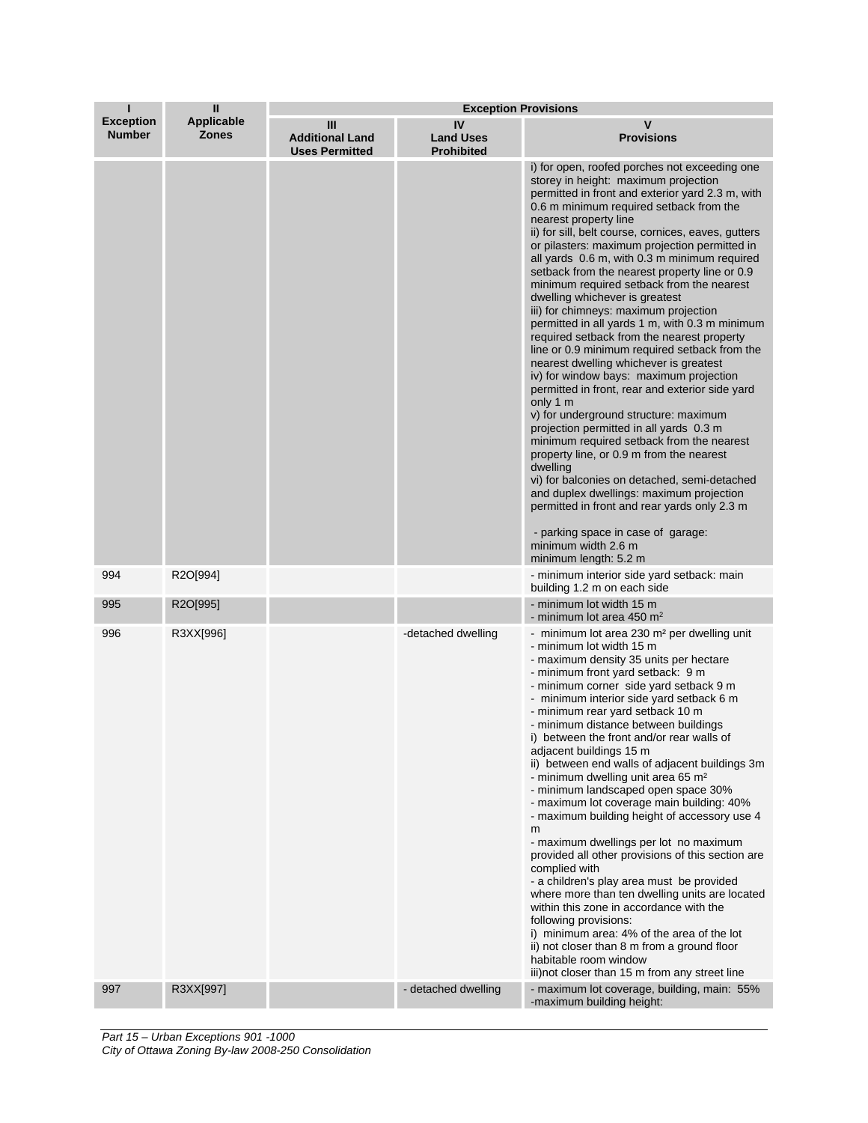| П                                 | Ш                                 | <b>Exception Provisions</b>                          |                                             |                                                                                                                                                                                                                                                                                                                                                                                                                                                                                                                                                                                                                                                                                                                                                                                                                                                                                                                                                                                                                                                                                                                                                                                                                                                                                |
|-----------------------------------|-----------------------------------|------------------------------------------------------|---------------------------------------------|--------------------------------------------------------------------------------------------------------------------------------------------------------------------------------------------------------------------------------------------------------------------------------------------------------------------------------------------------------------------------------------------------------------------------------------------------------------------------------------------------------------------------------------------------------------------------------------------------------------------------------------------------------------------------------------------------------------------------------------------------------------------------------------------------------------------------------------------------------------------------------------------------------------------------------------------------------------------------------------------------------------------------------------------------------------------------------------------------------------------------------------------------------------------------------------------------------------------------------------------------------------------------------|
| <b>Exception</b><br><b>Number</b> | <b>Applicable</b><br><b>Zones</b> | Ш<br><b>Additional Land</b><br><b>Uses Permitted</b> | IV<br><b>Land Uses</b><br><b>Prohibited</b> | v<br><b>Provisions</b>                                                                                                                                                                                                                                                                                                                                                                                                                                                                                                                                                                                                                                                                                                                                                                                                                                                                                                                                                                                                                                                                                                                                                                                                                                                         |
|                                   |                                   |                                                      |                                             | i) for open, roofed porches not exceeding one<br>storey in height: maximum projection<br>permitted in front and exterior yard 2.3 m, with<br>0.6 m minimum required setback from the<br>nearest property line<br>ii) for sill, belt course, cornices, eaves, gutters<br>or pilasters: maximum projection permitted in<br>all yards 0.6 m, with 0.3 m minimum required<br>setback from the nearest property line or 0.9<br>minimum required setback from the nearest<br>dwelling whichever is greatest<br>iii) for chimneys: maximum projection<br>permitted in all yards 1 m, with 0.3 m minimum<br>required setback from the nearest property<br>line or 0.9 minimum required setback from the<br>nearest dwelling whichever is greatest<br>iv) for window bays: maximum projection<br>permitted in front, rear and exterior side yard<br>only 1 m<br>v) for underground structure: maximum<br>projection permitted in all yards 0.3 m<br>minimum required setback from the nearest<br>property line, or 0.9 m from the nearest<br>dwelling<br>vi) for balconies on detached, semi-detached<br>and duplex dwellings: maximum projection<br>permitted in front and rear yards only 2.3 m<br>- parking space in case of garage:<br>minimum width 2.6 m<br>minimum length: 5.2 m |
| 994                               | R2O[994]                          |                                                      |                                             | - minimum interior side yard setback: main<br>building 1.2 m on each side                                                                                                                                                                                                                                                                                                                                                                                                                                                                                                                                                                                                                                                                                                                                                                                                                                                                                                                                                                                                                                                                                                                                                                                                      |
| 995                               | R2O[995]                          |                                                      |                                             | - minimum lot width 15 m<br>- minimum lot area 450 $m2$                                                                                                                                                                                                                                                                                                                                                                                                                                                                                                                                                                                                                                                                                                                                                                                                                                                                                                                                                                                                                                                                                                                                                                                                                        |
| 996                               | R3XX[996]                         |                                                      | -detached dwelling                          | - minimum lot area 230 m <sup>2</sup> per dwelling unit<br>- minimum lot width 15 m<br>- maximum density 35 units per hectare<br>- minimum front yard setback: 9 m<br>- minimum corner side yard setback 9 m<br>- minimum interior side yard setback 6 m<br>- minimum rear yard setback 10 m<br>- minimum distance between buildings<br>i) between the front and/or rear walls of<br>adjacent buildings 15 m<br>ii) between end walls of adjacent buildings 3m<br>- minimum dwelling unit area 65 m <sup>2</sup><br>- minimum landscaped open space 30%<br>- maximum lot coverage main building: 40%<br>- maximum building height of accessory use 4<br>m<br>- maximum dwellings per lot no maximum<br>provided all other provisions of this section are<br>complied with<br>- a children's play area must be provided<br>where more than ten dwelling units are located<br>within this zone in accordance with the<br>following provisions:<br>i) minimum area: 4% of the area of the lot<br>ii) not closer than 8 m from a ground floor<br>habitable room window<br>iii) not closer than 15 m from any street line                                                                                                                                                           |
| 997                               | R3XX[997]                         |                                                      | - detached dwelling                         | - maximum lot coverage, building, main: 55%<br>-maximum building height:                                                                                                                                                                                                                                                                                                                                                                                                                                                                                                                                                                                                                                                                                                                                                                                                                                                                                                                                                                                                                                                                                                                                                                                                       |